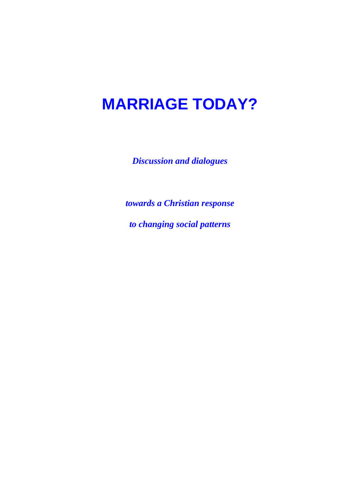# **MARRIAGE TODAY?**

*Discussion and dialogues*

*towards a Christian response to changing social patterns*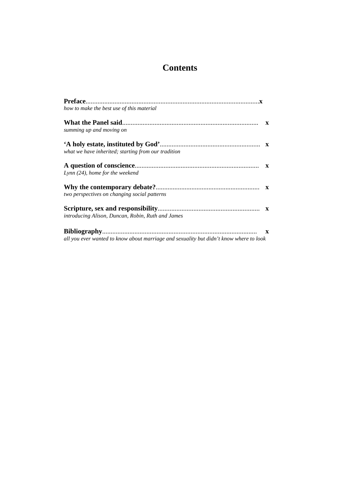## **Contents**

| how to make the best use of this material                                              |              |
|----------------------------------------------------------------------------------------|--------------|
| summing up and moving on                                                               | $\mathbf{x}$ |
| what we have inherited; starting from our tradition                                    |              |
| $Lynn$ (24), home for the weekend                                                      |              |
| two perspectives on changing social patterns                                           |              |
| introducing Alison, Duncan, Robin, Ruth and James                                      |              |
| all you ever wanted to know about marriage and sexuality but didn't know where to look | $\mathbf x$  |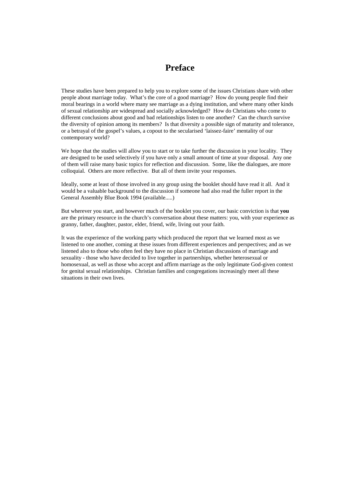## **Preface**

These studies have been prepared to help you to explore some of the issues Christians share with other people about marriage today. What's the core of a good marriage? How do young people find their moral bearings in a world where many see marriage as a dying institution, and where many other kinds of sexual relationship are widespread and socially acknowledged? How do Christians who come to different conclusions about good and bad relationships listen to one another? Can the church survive the diversity of opinion among its members? Is that diversity a possible sign of maturity and tolerance, or a betrayal of the gospel's values, a copout to the secularised 'laissez-faire' mentality of our contemporary world?

We hope that the studies will allow you to start or to take further the discussion in your locality. They are designed to be used selectively if you have only a small amount of time at your disposal. Any one of them will raise many basic topics for reflection and discussion. Some, like the dialogues, are more colloquial. Others are more reflective. But all of them invite your responses.

Ideally, some at least of those involved in any group using the booklet should have read it all. And it would be a valuable background to the discussion if someone had also read the fuller report in the General Assembly Blue Book 1994 (available.....)

But wherever you start, and however much of the booklet you cover, our basic conviction is that **you** are the primary resource in the church's conversation about these matters: you, with your experience as granny, father, daughter, pastor, elder, friend, wife, living out your faith.

It was the experience of the working party which produced the report that we learned most as we listened to one another, coming at these issues from different experiences and perspectives; and as we listened also to those who often feel they have no place in Christian discussions of marriage and sexuality - those who have decided to live together in partnerships, whether heterosexual or homosexual, as well as those who accept and affirm marriage as the only legitimate God-given context for genital sexual relationships. Christian families and congregations increasingly meet all these situations in their own lives.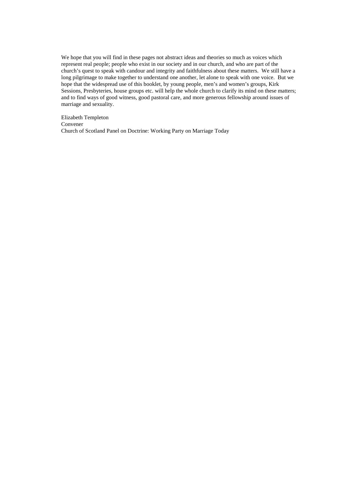We hope that you will find in these pages not abstract ideas and theories so much as voices which represent real people; people who exist in our society and in our church, and who are part of the church's quest to speak with candour and integrity and faithfulness about these matters. We still have a long pilgrimage to make together to understand one another, let alone to speak with one voice. But we hope that the widespread use of this booklet, by young people, men's and women's groups, Kirk Sessions, Presbyteries, house groups etc. will help the whole church to clarify its mind on these matters; and to find ways of good witness, good pastoral care, and more generous fellowship around issues of marriage and sexuality.

Elizabeth Templeton Convener Church of Scotland Panel on Doctrine: Working Party on Marriage Today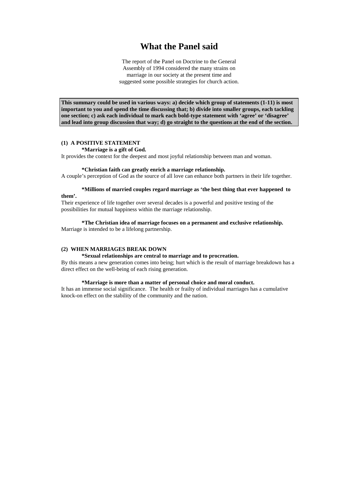## **What the Panel said**

The report of the Panel on Doctrine to the General Assembly of 1994 considered the many strains on marriage in our society at the present time and suggested some possible strategies for church action.

**This summary could be used in various ways: a) decide which group of statements (1-11) is most important to you and spend the time discussing that; b) divide into smaller groups, each tackling one section; c) ask each individual to mark each bold-type statement with 'agree' or 'disagree' and lead into group discussion that way; d) go straight to the questions at the end of the section.** 

## **(1) A POSITIVE STATEMENT**

#### **\*Marriage is a gift of God.**

It provides the context for the deepest and most joyful relationship between man and woman.

## **\*Christian faith can greatly enrich a marriage relationship.**

A couple's perception of God as the source of all love can enhance both partners in their life together.

## **\*Millions of married couples regard marriage as 'the best thing that ever happened to**

## **them'.**

Their experience of life together over several decades is a powerful and positive testing of the possibilities for mutual happiness within the marriage relationship.

## **\*The Christian idea of marriage focuses on a permanent and exclusive relationship.** Marriage is intended to be a lifelong partnership.

#### **(2) WHEN MARRIAGES BREAK DOWN**

#### **\*Sexual relationships are central to marriage and to procreation.**

By this means a new generation comes into being; hurt which is the result of marriage breakdown has a direct effect on the well-being of each rising generation.

## **\*Marriage is more than a matter of personal choice and moral conduct.**

It has an immense social significance. The health or frailty of individual marriages has a cumulative knock-on effect on the stability of the community and the nation.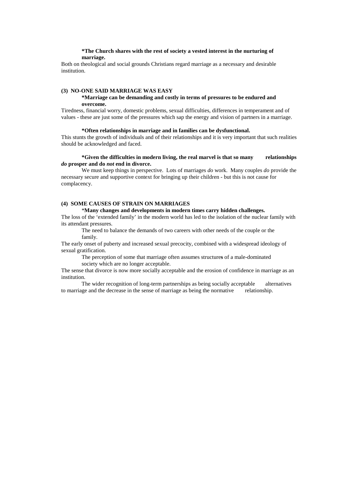### **\*The Church shares with the rest of society a vested interest in the nurturing of marriage.**

Both on theological and social grounds Christians regard marriage as a necessary and desirable institution.

## **(3) NO-ONE SAID MARRIAGE WAS EASY**

## **\*Marriage can be demanding and costly in terms of pressures to be endured and overcome.**

Tiredness, financial worry, domestic problems, sexual difficulties, differences in temperament and of values - these are just some of the pressures which sap the energy and vision of partners in a marriage.

### **\*Often relationships in marriage and in families can be dysfunctional.**

This stunts the growth of individuals and of their relationships and it is very important that such realities should be acknowledged and faced.

## **\*Given the difficulties in modern living, the real marvel is that so many relationships**  *do* **prosper and do** *not* **end in divorce.**

We must keep things in perspective. Lots of marriages *do* work. Many couples *do* provide the necessary secure and supportive context for bringing up their children - but this is not cause for complacency.

## **(4) SOME CAUSES OF STRAIN ON MARRIAGES**

## \***Many changes and developments in modern times carry hidden challenges.**

The loss of the 'extended family' in the modern world has led to the isolation of the nuclear family with its attendant pressures.

The need to balance the demands of two careers with other needs of the couple or the family.

The early onset of puberty and increased sexual precocity, combined with a widespread ideology of sexual gratification.

The perception of some that marriage often assumes structure**s** of a male-dominated society which are no longer acceptable.

The sense that divorce is now more socially acceptable and the erosion of confidence in marriage as an institution.

The wider recognition of long-term partnerships as being socially acceptable alternatives to marriage and the decrease in the sense of marriage as being the normative relationship.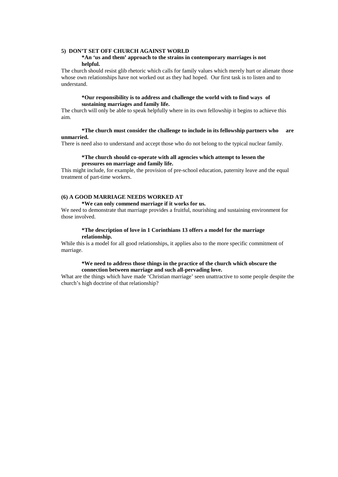#### **5) DON'T SET OFF CHURCH AGAINST WORLD**

## **\*An 'us and them' approach to the strains in contemporary marriages is not helpful.**

The church should resist glib rhetoric which calls for family values which merely hurt or alienate those whose own relationships have not worked out as they had hoped. Our first task is to listen and to understand.

## **\*Our responsibility is to address and challenge the world with to find ways of sustaining marriages and family life.**

The church will only be able to speak helpfully where in its own fellowship it begins to achieve this aim.

## **\*The church must consider the challenge to include in its fellowship partners who are unmarried.**

There is need also to understand and accept those who do not belong to the typical nuclear family.

## **\*The church should co-operate with all agencies which attempt to lessen the pressures on marriage and family life.**

This might include, for example, the provision of pre-school education, paternity leave and the equal treatment of part-time workers.

## **(6) A GOOD MARRIAGE NEEDS WORKED AT**

## **\*We can only commend marriage if it works for us.**

We need to demonstrate that marriage provides a fruitful, nourishing and sustaining environment for those involved.

## **\*The description of love in 1 Corinthians 13 offers a model for the marriage relationship.**

While this is a model for all good relationships, it applies also to the more specific commitment of marriage.

## **\*We need to address those things in the practice of the church which obscure the connection between marriage and such all-pervading love.**

What are the things which have made 'Christian marriage' seen unattractive to some people despite the church's high doctrine of that relationship?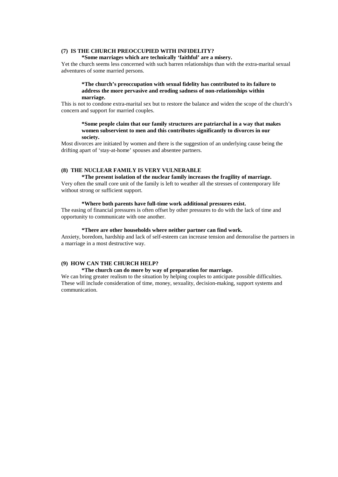## **(7) IS THE CHURCH PREOCCUPIED WITH INFIDELITY?**

## **\*Some marriages which are technically 'faithful' are a misery.**

Yet the church seems less concerned with such barren relationships than with the extra-marital sexual adventures of some married persons.

### **\*The church's preoccupation with sexual fidelity has contributed to its failure to address the more pervasive and eroding sadness of non-relationships within marriage.**

This is not to condone extra-marital sex but to restore the balance and widen the scope of the church's concern and support for married couples.

## **\*Some people claim that our family structures are patriarchal in a way that makes women subservient to men and this contributes significantly to divorces in our society.**

Most divorces are initiated by women and there is the suggestion of an underlying cause being the drifting apart of 'stay-at-home' spouses and absentee partners.

## **(8) THE NUCLEAR FAMILY IS VERY VULNERABLE**

## **\*The present isolation of the nuclear family increases the fragility of marriage.**

Very often the small core unit of the family is left to weather all the stresses of contemporary life without strong or sufficient support.

## **\*Where both parents have full-time work additional pressures exist.**

The easing of financial pressures is often offset by other pressures to do with the lack of time and opportunity to communicate with one another.

#### **\*There are other households where neither partner can find work.**

Anxiety, boredom, hardship and lack of self-esteem can increase tension and demoralise the partners in a marriage in a most destructive way.

## **(9) HOW CAN THE CHURCH HELP?**

#### **\*The church can do more by way of preparation for marriage.**

We can bring greater realism to the situation by helping couples to anticipate possible difficulties. These will include consideration of time, money, sexuality, decision-making, support systems and communication.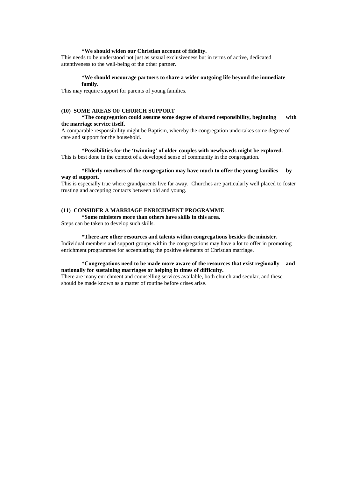#### **\*We should widen our Christian account of fidelity.**

This needs to be understood not just as sexual exclusiveness but in terms of active, dedicated attentiveness to the well-being of the other partner.

#### **\*We should encourage partners to share a wider outgoing life beyond the immediate family.**

This may require support for parents of young families.

## **(10) SOME AREAS OF CHURCH SUPPORT**

## **\*The congregation could assume some degree of shared responsibility, beginning with the marriage service itself.**

A comparable responsibility might be Baptism, whereby the congregation undertakes some degree of care and support for the household.

**\*Possibilities for the 'twinning' of older couples with newlyweds might be explored.** This is best done in the context of a developed sense of community in the congregation.

## **\*Elderly members of the congregation may have much to offer the young families by way of support.**

This is especially true where grandparents live far away. Churches are particularly well placed to foster trusting and accepting contacts between old and young.

## **(11) CONSIDER A MARRIAGE ENRICHMENT PROGRAMME**

**\*Some ministers more than others have skills in this area.** Steps can be taken to develop such skills.

#### **\*There are other resources and talents within congregations besides the minister.**

Individual members and support groups within the congregations may have a lot to offer in promoting enrichment programmes for accentuating the positive elements of Christian marriage.

## **\*Congregations need to be made more aware of the resources that exist regionally and nationally for sustaining marriages or helping in times of difficulty.**

There are many enrichment and counselling services available, both church and secular, and these should be made known as a matter of routine before crises arise.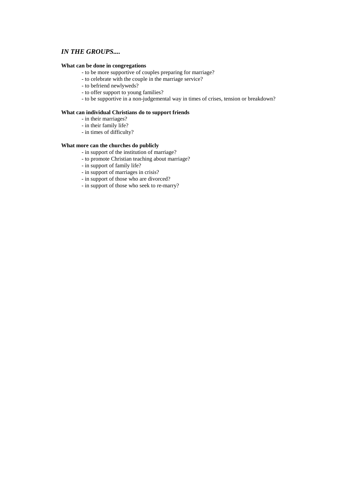## *IN THE GROUPS....*

## **What can be done in congregations**

- to be more supportive of couples preparing for marriage?
- to celebrate with the couple in the marriage service?
- to befriend newlyweds?
- to offer support to young families?
- to be supportive in a non-judgemental way in times of crises, tension or breakdown?

## **What can individual Christians do to support friends**

- in their marriages?
- in their family life?
- in times of difficulty?

## **What more can the churches do publicly**

- in support of the institution of marriage?
- to promote Christian teaching about marriage?
- in support of family life?
- in support of marriages in crisis?
- in support of those who are divorced?
- in support of those who seek to re-marry?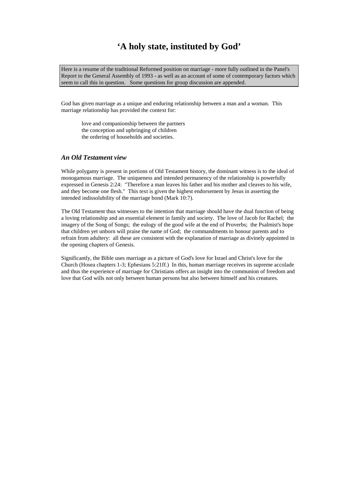## **'A holy state, instituted by God'**

Here is a resume of the traditional Reformed position on marriage - more fully outlined in the Panel's Report to the General Assembly of 1993 - as well as an account of some of contemporary factors which seem to call this in question. Some questions for group discussion are appended.

God has given marriage as a unique and enduring relationship between a man and a woman. This marriage relationship has provided the context for:

love and companionship between the partners the conception and upbringing of children the ordering of households and societies.

## *An Old Testament view*

While polygamy is present in portions of Old Testament history, the dominant witness is to the ideal of monogamous marriage. The uniqueness and intended permanency of the relationship is powerfully expressed in Genesis 2:24: "Therefore a man leaves his father and his mother and cleaves to his wife, and they become one flesh." This text is given the highest endorsement by Jesus in asserting the intended indissolubility of the marriage bond (Mark 10:7).

The Old Testament thus witnesses to the intention that marriage should have the dual function of being a loving relationship and an essential element in family and society. The love of Jacob for Rachel; the imagery of the Song of Songs; the eulogy of the good wife at the end of Proverbs; the Psalmist's hope that children yet unborn will praise the name of God; the commandments to honour parents and to refrain from adultery: all these are consistent with the explanation of marriage as divinely appointed in the opening chapters of Genesis.

Significantly, the Bible uses marriage as a picture of God's love for Israel and Christ's love for the Church (Hosea chapters 1-3; Ephesians 5:21ff.) In this, human marriage receives its supreme accolade and thus the experience of marriage for Christians offers an insight into the communion of freedom and love that God wills not only between human persons but also between himself and his creatures.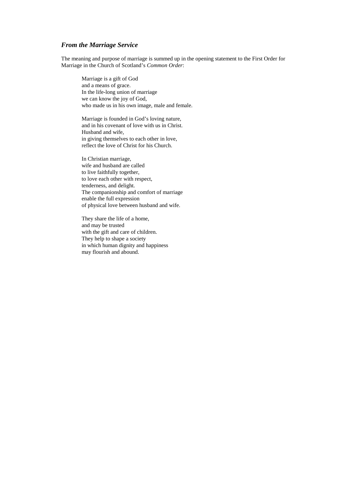## *From the Marriage Service*

The meaning and purpose of marriage is summed up in the opening statement to the First Order for Marriage in the Church of Scotland's *Common Order*:

Marriage is a gift of God and a means of grace. In the life-long union of marriage we can know the joy of God, who made us in his own image, male and female.

Marriage is founded in God's loving nature, and in his covenant of love with us in Christ. Husband and wife, in giving themselves to each other in love, reflect the love of Christ for his Church.

In Christian marriage, wife and husband are called to live faithfully together, to love each other with respect, tenderness, and delight. The companionship and comfort of marriage enable the full expression of physical love between husband and wife.

They share the life of a home, and may be trusted with the gift and care of children. They help to shape a society in which human dignity and happiness may flourish and abound.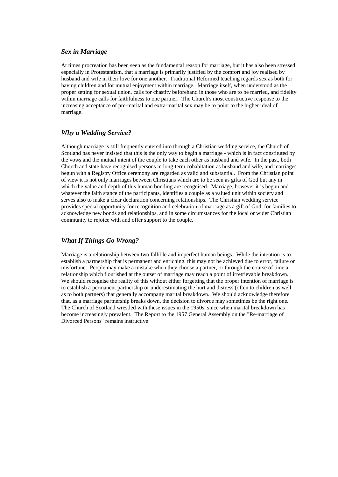## *Sex in Marriage*

At times procreation has been seen as the fundamental reason for marriage, but it has also been stressed, especially in Protestantism, that a marriage is primarily justified by the comfort and joy realised by husband and wife in their love for one another. Traditional Reformed teaching regards sex as both for having children and for mutual enjoyment within marriage. Marriage itself, when understood as the proper setting for sexual union, calls for chastity beforehand in those who are to be married, and fidelity within marriage calls for faithfulness to one partner. The Church's most constructive response to the increasing acceptance of pre-marital and extra-marital sex may be to point to the higher ideal of marriage.

## *Why a Wedding Service?*

Although marriage is still frequently entered into through a Christian wedding service, the Church of Scotland has never insisted that this is the only way to begin a marriage - which is in fact constituted by the vows and the mutual intent of the couple to take each other as husband and wife. In the past, both Church and state have recognised persons in long-term cohabitation as husband and wife, and marriages begun with a Registry Office ceremony are regarded as valid and substantial. From the Christian point of view it is not only marriages between Christians which are to be seen as gifts of God but any in which the value and depth of this human bonding are recognised. Marriage, however it is begun and whatever the faith stance of the participants, identifies a couple as a valued unit within society and serves also to make a clear declaration concerning relationships. The Christian wedding service provides special opportunity for recognition and celebration of marriage as a gift of God, for families to acknowledge new bonds and relationships, and in some circumstances for the local or wider Christian community to rejoice with and offer support to the couple.

## *What If Things Go Wrong?*

Marriage is a relationship between two fallible and imperfect human beings. While the intention is to establish a partnership that is permanent and enriching, this may not be achieved due to error, failure or misfortune. People may make a mistake when they choose a partner, or through the course of time a relationship which flourished at the outset of marriage may reach a point of irretrievable breakdown. We should recognise the reality of this without either forgetting that the proper intention of marriage is to establish a permanent partnership or underestimating the hurt and distress (often to children as well as to both partners) that generally accompany marital breakdown. We should acknowledge therefore that, as a marriage partnership breaks down, the decision to divorce may sometimes be the right one. The Church of Scotland wrestled with these issues in the 1950s, since when marital breakdown has become increasingly prevalent. The Report to the 1957 General Assembly on the "Re-marriage of Divorced Persons" remains instructive: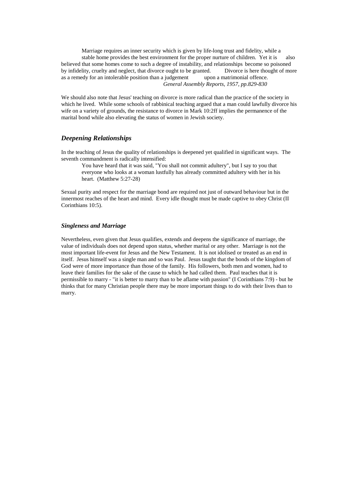Marriage requires an inner security which is given by life-long trust and fidelity, while a stable home provides the best environment for the proper nurture of children. Yet it is also believed that some homes come to such a degree of instability, and relationships become so poisoned<br>by infidelity, cruelty and neglect, that divorce ought to be granted. Divorce is here thought of more by infidelity, cruelty and neglect, that divorce ought to be granted. as a remedy for an intolerable position than a judgement upon a matrimonial offence. *General Assembly Reports, 1957, pp.829-830*

We should also note that Jesus' teaching on divorce is more radical than the practice of the society in which he lived. While some schools of rabbinical teaching argued that a man could lawfully divorce his wife on a variety of grounds, the resistance to divorce in Mark 10:2ff implies the permanence of the marital bond while also elevating the status of women in Jewish society.

## *Deepening Relationships*

In the teaching of Jesus the quality of relationships is deepened yet qualified in significant ways. The seventh commandment is radically intensified:

You have heard that it was said, "You shall not commit adultery", but I say to you that everyone who looks at a woman lustfully has already committed adultery with her in his heart. (Matthew 5:27-28)

Sexual purity and respect for the marriage bond are required not just of outward behaviour but in the innermost reaches of the heart and mind. Every idle thought must be made captive to obey Christ (II Corinthians 10:5).

## *Singleness and Marriage*

Nevertheless, even given that Jesus qualifies, extends and deepens the significance of marriage, the value of individuals does not depend upon status, whether marital or any other. Marriage is not the most important life-event for Jesus and the New Testament. It is not idolised or treated as an end in itself. Jesus himself was a single man and so was Paul. Jesus taught that the bonds of the kingdom of God were of more importance than those of the family. His followers, both men and women, had to leave their families for the sake of the cause to which he had called them. Paul teaches that it is permissible to marry - "it is better to marry than to be aflame with passion" (I Corinthians 7:9) - but he thinks that for many Christian people there may be more important things to do with their lives than to marry.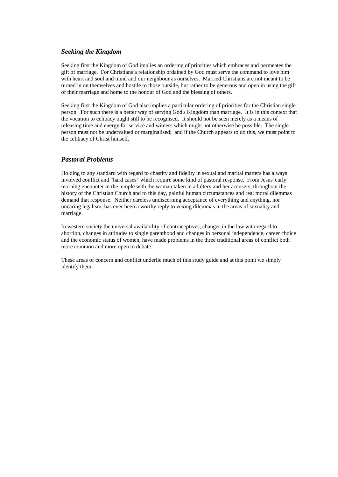## *Seeking the Kingdom*

Seeking first the Kingdom of God implies an ordering of priorities which embraces and permeates the gift of marriage. For Christians a relationship ordained by God must serve the command to love him with heart and soul and mind and our neighbour as ourselves. Married Christians are not meant to be turned in on themselves and hostile to those outside, but rather to be generous and open in using the gift of their marriage and home to the honour of God and the blessing of others.

Seeking first the Kingdom of God also implies a particular ordering of priorities for the Christian single person. For such there is a better way of serving God's Kingdom than marriage. It is in this context that the vocation to celibacy ought still to be recognised. It should not be seen merely as a means of releasing time and energy for service and witness which might not otherwise be possible. The single person must not be undervalued or marginalised; and if the Church appears to do this, we must point to the celibacy of Christ himself.

## *Pastoral Problems*

Holding to any standard with regard to chastity and fidelity in sexual and marital matters has always involved conflict and "hard cases" which require some kind of pastoral response. From Jesus' early morning encounter in the temple with the woman taken in adultery and her accusers, throughout the history of the Christian Church and to this day, painful human circumstances and real moral dilemmas demand that response. Neither careless undiscerning acceptance of everything and anything, nor uncaring legalism, has ever been a worthy reply to vexing dilemmas in the areas of sexuality and marriage.

In western society the universal availability of contraceptives, changes in the law with regard to abortion, changes in attitudes to single parenthood and changes in personal independence, career choice and the economic status of women, have made problems in the three traditional areas of conflict both more common and more open to debate.

These areas of concern and conflict underlie much of this study guide and at this point we simply identify them: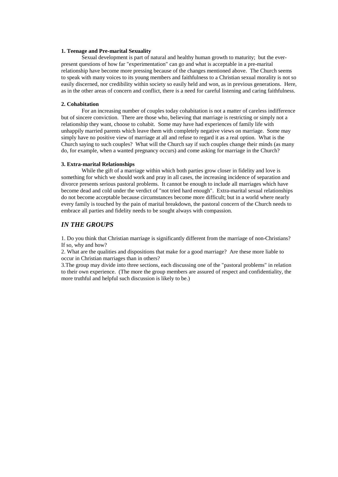#### **1. Teenage and Pre-marital Sexuality**

Sexual development is part of natural and healthy human growth to maturity; but the everpresent questions of how far "experimentation" can go and what is acceptable in a pre-marital relationship have become more pressing because of the changes mentioned above. The Church seems to speak with many voices to its young members and faithfulness to a Christian sexual morality is not so easily discerned, nor credibility within society so easily held and won, as in previous generations. Here, as in the other areas of concern and conflict, there is a need for careful listening and caring faithfulness.

#### **2. Cohabitation**

For an increasing number of couples today cohabitation is not a matter of careless indifference but of sincere conviction. There are those who, believing that marriage is restricting or simply not a relationship they want, choose to cohabit. Some may have had experiences of family life with unhappily married parents which leave them with completely negative views on marriage. Some may simply have no positive view of marriage at all and refuse to regard it as a real option. What is the Church saying to such couples? What will the Church say if such couples change their minds (as many do, for example, when a wanted pregnancy occurs) and come asking for marriage in the Church?

## **3. Extra-marital Relationships**

While the gift of a marriage within which both parties grow closer in fidelity and love is something for which we should work and pray in all cases, the increasing incidence of separation and divorce presents serious pastoral problems. It cannot be enough to include all marriages which have become dead and cold under the verdict of "not tried hard enough". Extra-marital sexual relationships do not become acceptable because circumstances become more difficult; but in a world where nearly every family is touched by the pain of marital breakdown, the pastoral concern of the Church needs to embrace all parties and fidelity needs to be sought always with compassion.

## *IN THE GROUPS*

1. Do you think that Christian marriage is significantly different from the marriage of non-Christians? If so, why and how?

2. What are the qualities and dispositions that make for a good marriage? Are these more liable to occur in Christian marriages than in others?

3.The group may divide into three sections, each discussing one of the "pastoral problems" in relation to their own experience. (The more the group members are assured of respect and confidentiality, the more truthful and helpful such discussion is likely to be.)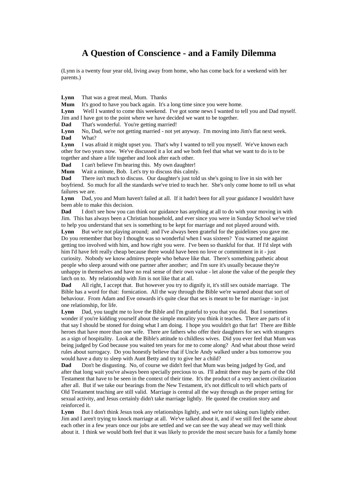## **A Question of Conscience - and a Family Dilemma**

(Lynn is a twenty four year old, living away from home, who has come back for a weekend with her parents.)

**Lynn** That was a great meal, Mum. Thanks

**Mum** It's good to have you back again. It's a long time since you were home.

**Lynn** Well I wanted to come this weekend. I've got some news I wanted to tell you and Dad myself. Jim and I have got to the point where we have decided we want to be together.

**Dad** That's wonderful. You're getting married!

Lynn No, Dad, we're not getting married - not yet anyway. I'm moving into Jim's flat next week. **Dad** What?

**Lynn** I was afraid it might upset you. That's why I wanted to tell you myself. We've known each other for two years now. We've discussed it a lot and we both feel that what we want to do is to be together and share a life together and look after each other.

**Dad** I can't believe I'm hearing this. My own daughter!

**Mum** Wait a minute, Bob. Let's try to discuss this calmly.

**Dad** There isn't much to discuss. Our daughter's just told us she's going to live in sin with her boyfriend. So much for all the standards we've tried to teach her. She's only come home to tell us what failures we are.

**Lynn** Dad, you and Mum haven't failed at all. If it hadn't been for all your guidance I wouldn't have been able to make this decision.

**Dad** I don't see how you can think our guidance has anything at all to do with your moving in with Jim. This has always been a Christian household, and ever since you were in Sunday School we've tried to help you understand that sex is something to be kept for marriage and not played around with.

**Lynn** But we're not playing around; and I've always been grateful for the guidelines you gave me. Do you remember that boy I thought was so wonderful when I was sixteen? You warned me against getting too involved with him, and how right you were. I've been so thankful for that. If I'd slept with him I'd have felt really cheap because there would have been no love or commitment in it - just curiosity. Nobody we know admires people who behave like that. There's something pathetic about people who sleep around with one partner after another; and I'm sure it's usually because they're unhappy in themselves and have no real sense of their own value - let alone the value of the people they latch on to. My relationship with Jim is not like that at all.

**Dad** All right, I accept that. But however you try to dignify it, it's still sex outside marriage. The Bible has a word for that: fornication. All the way through the Bible we're warned about that sort of behaviour. From Adam and Eve onwards it's quite clear that sex is meant to be for marriage - in just one relationship, for life.

**Lynn** Dad, you taught me to love the Bible and I'm grateful to you that you did. But I sometimes wonder if you're kidding yourself about the simple morality you think it teaches. There are parts of it that say I should be stoned for doing what I am doing. I hope you wouldn't go that far! There are Bible heroes that have more than one wife. There are fathers who offer their daughters for sex with strangers as a sign of hospitality. Look at the Bible's attitude to childless wives. Did you ever feel that Mum was being judged by God because you waited ten years for me to come along? And what about those weird rules about surrogacy. Do you honestly believe that if Uncle Andy walked under a bus tomorrow you would have a duty to sleep with Aunt Betty and try to give her a child?

**Dad** Don't be disgusting. No, of course we didn't feel that Mum was being judged by God, and after that long wait you've always been specially precious to us. I'll admit there may be parts of the Old Testament that have to be seen in the context of their time. It's the product of a very ancient civilization after all. But if we take our bearings from the New Testament, it's not difficult to tell which parts of Old Testament teaching are still valid. Marriage is central all the way through as the proper setting for sexual activity, and Jesus certainly didn't take marriage lightly. He quoted the creation story and reinforced it.

Lynn But I don't think Jesus took any relationships lightly, and we're not taking ours lightly either. Jim and I aren't trying to knock marriage at all. We've talked about it, and if we still feel the same about each other in a few years once our jobs are settled and we can see the way ahead we may well think about it. I think we would both feel that it was likely to provide the most secure basis for a family home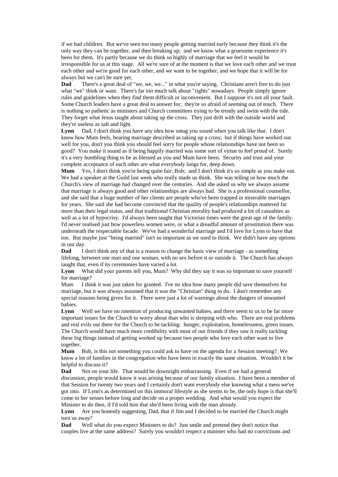if we had children. But we've seen too many people getting married early because they think it's the only way they can be together, and then breaking up; and we know what a gruesome experience it's been for them. It's partly because we do think so highly of marriage that we feel it would be irresponsible for us at this stage. All we're sure of at the moment is that we love each other and we trust each other and we're good for each other, and we want to be together, and we hope that it will be for always but we can't be sure yet.

**Dad** There's a great deal of "we, we, we..." in what you're saying. Christians aren't free to do just what "we" think or want. There's far too much talk about "rights" nowadays. People simply ignore rules and guidelines when they find them difficult or inconvenient. But I suppose it's not all your fault. Some Church leaders have a great deal to answer for; they're so afraid of seeming out of touch. There is nothing so pathetic as ministers and Church committees trying to be trendy and swim with the tide. They forget what Jesus taught about taking up the cross. They just drift with the outside world and they're useless as salt and light.

**Lynn** Dad, I don't think you have any idea how smug you sound when you talk like that. I don't know how Mum feels, hearing marriage described as taking up a cross; but if things have worked out well for you, don't you think you should feel sorry for people whose relationships have not been so good? You make it sound as if being happily married was some sort of virtue to feel proud of. Surely it's a very humbling thing to be as blessed as you and Mum have been. Security and trust and your complete acceptance of each other are what everybody longs for, deep down.

**Mum** Yes, I don't think you're being quite fair, Bob; and I don't think it's so simple as you make out. We had a speaker at the Guild last week who really made us think. She was telling us how much the Church's view of marriage had changed over the centuries. And she asked us why we always assume that marriage is always good and other relationships are always bad. She is a professional counsellor, and she said that a huge number of her clients are people who've been trapped in miserable marriages for years. She said she had become convinced that the quality of people's relationships mattered far more than their legal status, and that traditional Christian morality had produced a lot of casualties as well as a lot of hypocrisy. I'd always been taught that Victorian times were the great age of the family. I'd never realised just how powerless women were, or what a dreadful amount of prostitution there was underneath the respectable facade. We've had a wonderful marriage and I'd love for Lynn to have that too. But maybe just "being married" isn't so important as we used to think. We didn't have any options in our day.

**Dad** I don't think any of that is a reason to change the basic view of marriage - as something lifelong, between one man and one woman, with no sex before it or outside it. The Church has always taught that, even if its ceremonies have varied a lot.

**Lynn** What did your parents tell you, Mum? Why did they say it was so important to save yourself for marriage?

Mum I think it was just taken for granted. I've no idea how many people did save themselves for marriage, but it was always assumed that it was the "Christian" thing to do. I don't remember any special reasons being given for it. There were just a lot of warnings about the dangers of unwanted babies.

Lynn Well we have no intention of producing unwanted babies, and there seem to us to be far more important issues for the Church to worry about than who is sleeping with who. There are real problems and real evils out there for the Church to be tackling: hunger, exploitation, homelessness, green issues. The Church would have much more credibility with most of our friends if they saw it really tackling these big things instead of getting worked up because two people who love each other want to live together.

**Mum** Bob, is this not something you could ask to have on the agenda for a Session meeting? We know a lot of families in the congregation who have been in exactly the same situation. Wouldn't it be helpful to discuss it?

**Dad** Not on your life. That would be downright embarrassing. Even if we had a general discussion, people would know it was arising because of our family situation. I have been a member of that Session for twenty two years and I certainly don't want everybody else knowing what a mess we've got into. If Lynn's as determined on this immoral lifestyle as she seems to be, the only hope is that she'll come to her senses before long and decide on a proper wedding. And what would you expect the Minister to do then, if I'd told him that she'd been living with the man already.

**Lynn** Are you honestly suggesting, Dad, that if Jim and I decided to be married the Church might turn us away?

**Dad** Well what do you expect Ministers to do? Just smile and pretend they don't notice that couples live at the same address? Surely you wouldn't respect a minister who had no convictions and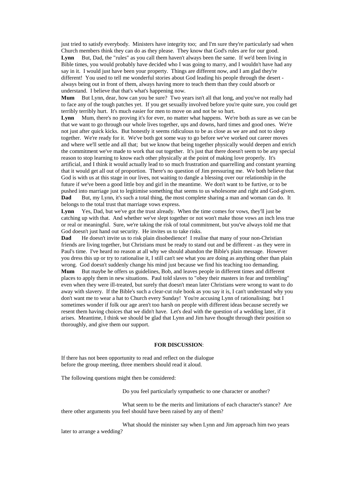just tried to satisfy everybody. Ministers have integrity too; and I'm sure they're particularly sad when Church members think they can do as they please. They know that God's rules are for our good. **Lynn** But, Dad, the "rules" as you call them haven't always been the same. If we'd been living in Bible times, you would probably have decided who I was going to marry, and I wouldn't have had any say in it. I would just have been your property. Things are different now, and I am glad they're different! You used to tell me wonderful stories about God leading his people through the desert always being out in front of them, always having more to teach them than they could absorb or understand. I believe that that's what's happening now.

**Mum** But Lynn, dear, how can you be sure? Two years isn't all that long, and you've not really had to face any of the tough patches yet. If you get sexually involved before you're quite sure, you could get terribly terribly hurt. It's much easier for men to move on and not be so hurt.

Lynn Mum, there's no proving it's for ever, no matter what happens. We're both as sure as we can be that we want to go through our whole lives together, ups and downs, hard times and good ones. We're not just after quick kicks. But honestly it seems ridiculous to be as close as we are and not to sleep together. We're ready for it. We've both got some way to go before we've worked out career moves and where we'll settle and all that; but we know that being together physically would deepen and enrich the commitment we've made to work that out together. It's just that there doesn't seem to be any special reason to stop learning to know each other physically at the point of making love properly. It's artificial, and I think it would actually lead to so much frustration and quarrelling and constant yearning that it would get all out of proportion. There's no question of Jim pressuring me. We both believe that God is with us at this stage in our lives, not waiting to dangle a blessing over our relationship in the future if we've been a good little boy and girl in the meantime. We don't want to be furtive, or to be pushed into marriage just to legitimise something that seems to us wholesome and right and God-given. **Dad** But, my Lynn, it's such a total thing, the most complete sharing a man and woman can do. It belongs to the total trust that marriage vows express.

**Lynn** Yes, Dad, but we've got the trust already. When the time comes for vows, they'll just be catching up with that. And whether we've slept together or not won't make those vows an inch less true or real or meaningful. Sure, we're taking the risk of total commitment, but you've always told me that God doesn't just hand out security. He invites us to take risks.

**Dad** He doesn't invite us to risk plain disobedience! I realise that many of your non-Christian friends are living together, but Christians must be ready to stand out and be different - as they were in Paul's time. I've heard no reason at all why we should abandon the Bible's plain message. However you dress this up or try to rationalise it, I still can't see what you are doing as anything other than plain wrong. God doesn't suddenly change his mind just because we find his teaching too demanding.

**Mum** But maybe he offers us guidelines, Bob, and leaves people in different times and different places to apply them in new situations. Paul told slaves to "obey their masters in fear and trembling" even when they were ill-treated, but surely that doesn't mean later Christians were wrong to want to do away with slavery. If the Bible's such a clear-cut rule book as you say it is, I can't understand why you don't want me to wear a hat to Church every Sunday! You're accusing Lynn of rationalising; but I sometimes wonder if folk our age aren't too harsh on people with different ideas because secretly we resent them having choices that we didn't have. Let's deal with the question of a wedding later, if it arises. Meantime, I think we should be glad that Lynn and Jim have thought through their position so thoroughly, and give them our support.

### **FOR DISCUSSION**:

If there has not been opportunity to read and reflect on the dialogue before the group meeting, three members should read it aloud.

The following questions might then be considered:

Do you feel particularly sympathetic to one character or another?

What seem to be the merits and limitations of each character's stance? Are there other arguments you feel should have been raised by any of them?

What should the minister say when Lynn and Jim approach him two years

later to arrange a wedding?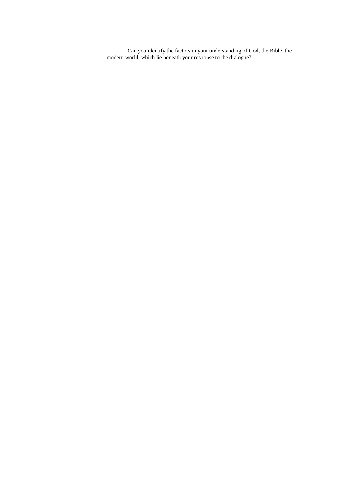Can you identify the factors in your understanding of God, the Bible, the modern world, which lie beneath your response to the dialogue?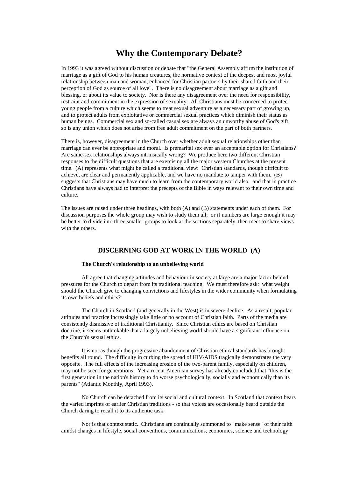## **Why the Contemporary Debate?**

In 1993 it was agreed without discussion or debate that "the General Assembly affirm the institution of marriage as a gift of God to his human creatures, the normative context of the deepest and most joyful relationship between man and woman, enhanced for Christian partners by their shared faith and their perception of God as source of all love". There is no disagreement about marriage as a gift and blessing, or about its value to society. Nor is there any disagreement over the need for responsibility, restraint and commitment in the expression of sexuality. All Christians must be concerned to protect young people from a culture which seems to treat sexual adventure as a necessary part of growing up, and to protect adults from exploitative or commercial sexual practices which diminish their status as human beings. Commercial sex and so-called casual sex are always an unworthy abuse of God's gift; so is any union which does not arise from free adult commitment on the part of both partners.

There is, however, disagreement in the Church over whether adult sexual relationships other than marriage can ever be appropriate and moral. Is premarital sex ever an acceptable option for Christians? Are same-sex relationships always intrinsically wrong? We produce here two different Christian responses to the difficult questions that are exercising all the major western Churches at the present time. (A) represents what might be called a traditional view: Christian standards, though difficult to achieve, are clear and permanently applicable, and we have no mandate to tamper with them. (B) suggests that Christians may have much to learn from the contemporary world also: and that in practice Christians have always had to interpret the precepts of the Bible in ways relevant to their own time and culture.

The issues are raised under three headings, with both (A) and (B) statements under each of them. For discussion purposes the whole group may wish to study them all; or if numbers are large enough it may be better to divide into three smaller groups to look at the sections separately, then meet to share views with the others.

## **DISCERNING GOD AT WORK IN THE WORLD (A)**

## **The Church's relationship to an unbelieving world**

All agree that changing attitudes and behaviour in society at large are a major factor behind pressures for the Church to depart from its traditional teaching. We must therefore ask: what weight should the Church give to changing convictions and lifestyles in the wider community when formulating its own beliefs and ethics?

The Church in Scotland (and generally in the West) is in severe decline. As a result, popular attitudes and practice increasingly take little or no account of Christian faith. Parts of the media are consistently dismissive of traditional Christianity. Since Christian ethics are based on Christian doctrine, it seems unthinkable that a largely unbelieving world should have a significant influence on the Church's sexual ethics.

It is not as though the progressive abandonment of Christian ethical standards has brought benefits all round. The difficulty in curbing the spread of HIV/AIDS tragically demonstrates the very opposite. The full effects of the increasing erosion of the two-parent family, especially on children, may not be seen for generations. Yet a recent American survey has already concluded that "this is the first generation in the nation's history to do worse psychologically, socially and economically than its parents" (Atlantic Monthly, April 1993).

No Church can be detached from its social and cultural context. In Scotland that context bears the varied imprints of earlier Christian traditions - so that voices are occasionally heard outside the Church daring to recall it to its authentic task.

Nor is that context static. Christians are continually summoned to "make sense" of their faith amidst changes in lifestyle, social conventions, communications, economics, science and technology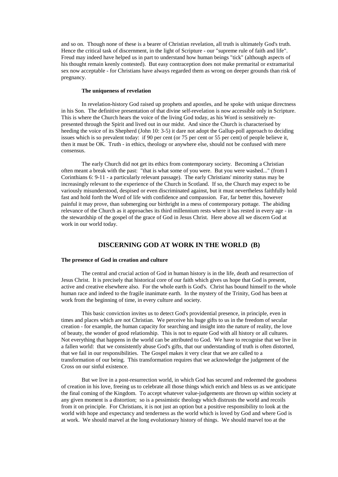and so on. Though none of these is a bearer of Christian revelation, all truth is ultimately God's truth. Hence the critical task of discernment, in the light of Scripture - our "supreme rule of faith and life". Freud may indeed have helped us in part to understand how human beings "tick" (although aspects of his thought remain keenly contested). But easy contraception does not make premarital or extramarital sex now acceptable - for Christians have always regarded them as wrong on deeper grounds than risk of pregnancy.

## **The uniqueness of revelation**

In revelation-history God raised up prophets and apostles, and he spoke with unique directness in his Son. The definitive presentation of that divine self-revelation is now accessible only in Scripture. This is where the Church hears the voice of the living God today, as his Word is sensitively represented through the Spirit and lived out in our midst. And since the Church is characterised by heeding the voice of its Shepherd (John 10: 3-5) it dare not adopt the Gallup-poll approach to deciding issues which is so prevalent today: if 90 per cent (or 75 per cent or 55 per cent) of people believe it, then it must be OK. Truth - in ethics, theology or anywhere else, should not be confused with mere consensus.

The early Church did not get its ethics from contemporary society. Becoming a Christian often meant a break with the past: "that is what some of you were. But you were washed..." (from I Corinthians 6: 9-11 - a particularly relevant passage). The early Christians' minority status may be increasingly relevant to the experience of the Church in Scotland. If so, the Church may expect to be variously misunderstood, despised or even discriminated against, but it must nevertheless faithfully hold fast and hold forth the Word of life with confidence and compassion. Far, far better this, however painful it may prove, than submerging our birthright in a mess of contemporary pottage. The abiding relevance of the Church as it approaches its third millennium rests where it has rested in every age - in the stewardship of the gospel of the grace of God in Jesus Christ. Here above all we discern God at work in our world today.

## **DISCERNING GOD AT WORK IN THE WORLD (B)**

#### **The presence of God in creation and culture**

The central and crucial action of God in human history is in the life, death and resurrection of Jesus Christ. It is precisely that historical core of our faith which gives us hope that God is present, active and creative elsewhere also. For the whole earth is God's. Christ has bound himself to the whole human race and indeed to the fragile inanimate earth. In the mystery of the Trinity, God has been at work from the beginning of time, in every culture and society.

This basic conviction invites us to detect God's providential presence, in principle, even in times and places which are not Christian. We perceive his huge gifts to us in the freedom of secular creation - for example, the human capacity for searching and insight into the nature of reality, the love of beauty, the wonder of good relationship. This is not to equate God with all history or all cultures. Not everything that happens in the world can be attributed to God. We have to recognise that we live in a fallen world: that we consistently abuse God's gifts, that our understanding of truth is often distorted, that we fail in our responsibilities. The Gospel makes it very clear that we are called to a transformation of our being. This transformation requires that we acknowledge the judgement of the Cross on our sinful existence.

But we live in a post-resurrection world, in which God has secured and redeemed the goodness of creation in his love, freeing us to celebrate all those things which enrich and bless us as we anticipate the final coming of the Kingdom. To accept whatever value-judgements are thrown up within society at any given moment is a distortion; so is a pessimistic theology which distrusts the world and recoils from it on principle. For Christians, it is not just an option but a positive responsibility to look at the world with hope and expectancy and tenderness as the world which is loved by God and where God is at work. We should marvel at the long evolutionary history of things. We should marvel too at the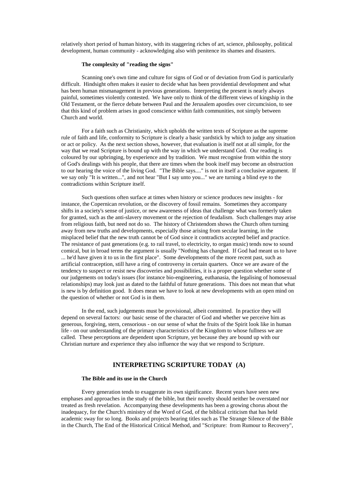relatively short period of human history, with its staggering riches of art, science, philosophy, political development, human community - acknowledging also with penitence its shames and disasters.

## **The complexity of "reading the signs"**

Scanning one's own time and culture for signs of God or of deviation from God is particularly difficult. Hindsight often makes it easier to decide what has been providential development and what has been human mismanagement in previous generations. Interpreting the present is nearly always painful, sometimes violently contested. We have only to think of the different views of kingship in the Old Testament, or the fierce debate between Paul and the Jerusalem apostles over circumcision, to see that this kind of problem arises in good conscience within faith communities, not simply between Church and world.

For a faith such as Christianity, which upholds the written texts of Scripture as the supreme rule of faith and life, conformity to Scripture is clearly a basic yardstick by which to judge any situation or act or policy. As the next section shows, however, that evaluation is itself not at all simple, for the way that we read Scripture is bound up with the way in which we understand God. Our reading is coloured by our upbringing, by experience and by tradition. We must recognise from within the story of God's dealings with his people, that there are times when the book itself may become an obstruction to our hearing the voice of the living God. "The Bible says...." is not in itself a conclusive argument. If we say only "It is written...", and not hear "But I say unto you..." we are turning a blind eye to the contradictions within Scripture itself.

Such questions often surface at times when history or science produces new insights - for instance, the Copernican revolution, or the discovery of fossil remains. Sometimes they accompany shifts in a society's sense of justice, or new awareness of ideas that challenge what was formerly taken for granted, such as the anti-slavery movement or the rejection of feudalism. Such challenges may arise from religious faith, but need not do so. The history of Christendom shows the Church often turning away from new truths and developments, especially those arising from secular learning, in the misplaced belief that the new truth cannot be of God since it contradicts accepted belief and practice. The resistance of past generations (e.g. to rail travel, to electricity, to organ music) tends now to sound comical, but in broad terms the argument is usually "Nothing has changed. If God had meant us to have ... he'd have given it to us in the first place". Some developments of the more recent past, such as artificial contraception, still have a ring of controversy in certain quarters. Once we are aware of the tendency to suspect or resist new discoveries and possibilities, it is a proper question whether some of our judgements on today's issues (for instance bio-engineering, euthanasia, the legalising of homosexual relationships) may look just as dated to the faithful of future generations. This does not mean that what is new is by definition good. It does mean we have to look at new developments with an open mind on the question of whether or not God is in them.

In the end, such judgements must be provisional, albeit committed. In practice they will depend on several factors: our basic sense of the character of God and whether we perceive him as generous, forgiving, stern, censorious - on our sense of what the fruits of the Spirit look like in human life - on our understanding of the primary characteristics of the Kingdom to whose fullness we are called. These perceptions are dependent upon Scripture, yet because they are bound up with our Christian nurture and experience they also influence the way that we respond to Scripture.

## **INTERPRETING SCRIPTURE TODAY (A)**

#### **The Bible and its use in the Church**

Every generation tends to exaggerate its own significance. Recent years have seen new emphases and approaches in the study of the bible, but their novelty should neither be overstated nor treated as fresh revelation. Accompanying these developments has been a growing chorus about the inadequacy, for the Church's ministry of the Word of God, of the biblical criticism that has held academic sway for so long. Books and projects bearing titles such as The Strange Silence of the Bible in the Church, The End of the Historical Critical Method, and "Scripture: from Rumour to Recovery",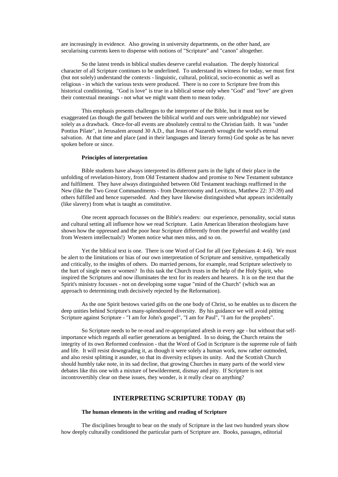are increasingly in evidence. Also growing in university departments, on the other hand, are secularising currents keen to dispense with notions of "Scripture" and "canon" altogether.

So the latest trends in biblical studies deserve careful evaluation. The deeply historical character of all Scripture continues to be underlined. To understand its witness for today, we must first (but not solely) understand the contexts - linguistic, cultural, political, socio-economic as well as religious - in which the various texts were produced. There is no core to Scripture free from this historical conditioning. "God is love" is true in a biblical sense only when "God" and "love" are given their contextual meanings - not what we might want them to mean today.

This emphasis presents challenges to the interpreter of the Bible, but it must not be exaggerated (as though the gulf between the biblical world and ours were unbridgeable) nor viewed solely as a drawback. Once-for-all events are absolutely central to the Christian faith. It was "under Pontius Pilate", in Jerusalem around 30 A.D., that Jesus of Nazareth wrought the world's eternal salvation. At that time and place (and in their languages and literary forms) God spoke as he has never spoken before or since.

## **Principles of interpretation**

Bible students have always interpreted its different parts in the light of their place in the unfolding of revelation-history, from Old Testament shadow and promise to New Testament substance and fulfilment. They have always distinguished between Old Testament teachings reaffirmed in the New (like the Two Great Commandments - from Deuteronomy and Leviticus, Matthew 22: 37-39) and others fulfilled and hence superseded. And they have likewise distinguished what appears incidentally (like slavery) from what is taught as constitutive.

One recent approach focusses on the Bible's readers: our experience, personality, social status and cultural setting all influence how we read Scripture. Latin American liberation theologians have shown how the oppressed and the poor hear Scripture differently from the powerful and wealthy (and from Western intellectuals!) Women notice what men miss, and so on.

Yet the biblical text is one. There is one Word of God for all (see Ephesians 4: 4-6). We must be alert to the limitations or bias of our own interpretation of Scripture and sensitive, sympathetically and critically, to the insights of others. Do married persons, for example, read Scripture selectively to the hurt of single men or women? In this task the Church trusts in the help of the Holy Spirit, who inspired the Scriptures and now illuminates the text for its readers and hearers. It is on the text that the Spirit's ministry focusses - not on developing some vague "mind of the Church" (which was an approach to determining truth decisively rejected by the Reformation).

As the one Spirit bestows varied gifts on the one body of Christ, so he enables us to discern the deep unities behind Scripture's many-splendoured diversity. By his guidance we will avoid pitting Scripture against Scripture - "I am for John's gospel", "I am for Paul", "I am for the prophets".

So Scripture needs to be re-read and re-appropriated afresh in every age - but without that selfimportance which regards all earlier generations as benighted. In so doing, the Church retains the integrity of its own Reformed confession - that the Word of God in Scripture is the supreme rule of faith and life. It will resist downgrading it, as though it were solely a human work, now rather outmoded, and also resist splitting it asunder, so that its diversity eclipses its unity. And the Scottish Church should humbly take note, in its sad decline, that growing Churches in many parts of the world view debates like this one with a mixture of bewilderment, dismay and pity. If Scripture is not incontrovertibly clear on these issues, they wonder, is it really clear on anything?

## **INTERPRETING SCRIPTURE TODAY (B)**

## **The human elements in the writing and reading of Scripture**

The disciplines brought to bear on the study of Scripture in the last two hundred years show how deeply culturally conditioned the particular parts of Scripture are. Books, passages, editorial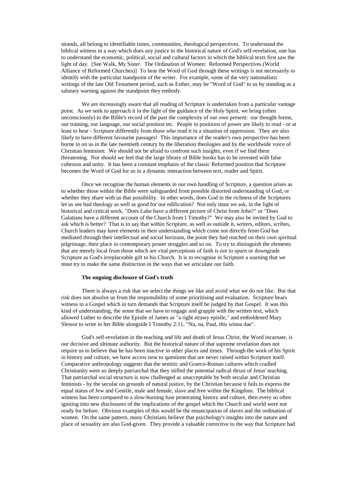strands, all belong to identifiable times, communities, theological perspectives. To understand the biblical witness in a way which does any justice to the historical nature of God's self-revelation, one has to understand the economic, political, social and cultural factors in which the biblical texts first saw the light of day. [See Walk, My Sister. The Ordination of Women: Reformed Perspectives (World Alliance of Reformed Churches)] To hear the Word of God through these writings is not necessarily to identify with the particular standpoint of the writer. For example, some of the very nationalistic writings of the late Old Testament period, such as Esther, may be "Word of God" to us by standing as a salutary warning against the standpoint they embody.

We are increasingly aware that all reading of Scripture is undertaken from a particular vantage point. As we seek to approach it in the light of the guidance of the Holy Spirit, we bring (often unconsciously) to the Bible's record of the past the complexity of our own present: our thought forms, our training, our language, our social position etc. People in positions of power are likely to read - or at least to hear - Scripture differently from those who read it in a situation of oppression. They are also likely to have different favourite passages! This importance of the reader's own perspective has been borne in on us in the late twentieth century by the liberation theologies and by the worldwide voice of Christian feminism. We should not be afraid to confront such insights, even if we find them threatening. Nor should we feel that the large library of Bible books has to be invested with false cohesion and unity. It has been a constant emphasis of the classic Reformed position that Scripture becomes the Word of God for us in a dynamic interaction between text, reader and Spirit.

Once we recognise the human elements in our own handling of Scripture, a question arises as to whether those within the Bible were safeguarded from possible distorted understanding of God, or whether they share with us that possibility. In other words, does God in the richness of the Scriptures let us see bad theology as well as good for our edification? Not only must we ask, in the light of historical and critical work, "Does Luke have a different picture of Christ from John?" or "Does Galatians have a different account of the Church from I Timothy?" We may also be invited by God to ask which is better? That is to say that within Scripture, as well as outside it, writers, editors, scribes, Church leaders may have elements in their understanding which come not directly from God but mediated through their intellectual and social horizons, the point they had reached on their own spiritual pilgrimage, their place in contemporary power struggles and so on. To try to distinguish the elements that are merely local from those which are vital perceptions of faith is not to spurn or downgrade Scripture as God's irreplaceable gift to his Church. It is to recognise in Scripture a warning that we must try to make the same distinction in the ways that we articulate our faith.

## **The ongoing disclosure of God's truth**

There is always a risk that we select the things we like and avoid what we do not like. But that risk does not absolve us from the responsibility of some prioritising and evaluation. Scripture bears witness to a Gospel which in turn demands that Scripture itself be judged by that Gospel. It was this kind of understanding, the sense that we have to engage and grapple with the written text, which allowed Luther to describe the Epistle of James as "a right strawy epistle," and emboldened Mary Slessor to write in her Bible alongside I Timothy 2:11, "Na, na, Paul, this winna dae".

God's self-revelation in the teaching and life and death of Jesus Christ, the Word incarnate, is our decisive and ultimate authority. But the historical nature of that supreme revelation does not require us to believe that he has been inactive in other places and times. Through the work of his Spirit in history and culture, we have access now to questions that are never raised within Scripture itself. Comparative anthropology suggests that the semitic and Graeco-Roman cultures which cradled Christianity were so deeply patriarchal that they stifled the potential radical thrust of Jesus' teaching. That patriarchal social structure is now challenged as unacceptable by both secular and Christian feminists - by the secular on grounds of natural justice, by the Christian because it fails to express the equal status of Jew and Gentile, male and female, slave and free within the Kingdom. The biblical witness has been compared to a slow-burning fuse penetrating history and culture, then every so often igniting into new disclosures of the implications of the gospel which the Church and world were not ready for before. Obvious examples of this would be the emancipation of slaves and the ordination of women. On the same pattern, many Christians believe that psychology's insights into the nature and place of sexuality are also God-given. They provide a valuable corrective to the way that Scripture had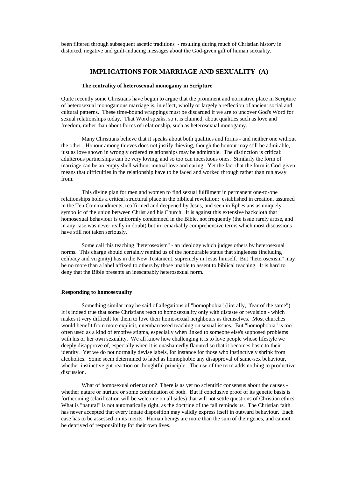been filtered through subsequent ascetic traditions - resulting during much of Christian history in distorted, negative and guilt-inducing messages about the God-given gift of human sexuality.

## **IMPLICATIONS FOR MARRIAGE AND SEXUALITY (A)**

#### **The centrality of heterosexual monogamy in Scripture**

Quite recently some Christians have begun to argue that the prominent and normative place in Scripture of heterosexual monogamous marriage is, in effect, wholly or largely a reflection of ancient social and cultural patterns. These time-bound wrappings must be discarded if we are to uncover God's Word for sexual relationships today. That Word speaks, so it is claimed, about qualities such as love and freedom, rather than about forms of relationship, such as heterosexual monogamy.

Many Christians believe that it speaks about both qualities and forms - and neither one without the other. Honour among thieves does not justify thieving, though the honour may still be admirable, just as love shown in wrongly ordered relationships may be admirable. The distinction is critical: adulterous partnerships can be very loving, and so too can incestuous ones. Similarly the form of marriage can be an empty shell without mutual love and caring. Yet the fact that the form is God-given means that difficulties in the relationship have to be faced and worked through rather than run away from.

This divine plan for men and women to find sexual fulfilment in permanent one-to-one relationships holds a critical structural place in the biblical revelation: established in creation, assumed in the Ten Commandments, reaffirmed and deepened by Jesus, and seen in Ephesians as uniquely symbolic of the union between Christ and his Church. It is against this extensive backcloth that homosexual behaviour is uniformly condemned in the Bible, not frequently (the issue rarely arose, and in any case was never really in doubt) but in remarkably comprehensive terms which most discussions have still not taken seriously.

Some call this teaching "heterosexism" - an ideology which judges others by heterosexual norms. This charge should certainly remind us of the honourable status that singleness (including celibacy and virginity) has in the New Testament, supremely in Jesus himself. But "heterosexism" may be no more than a label affixed to others by those unable to assent to biblical teaching. It is hard to deny that the Bible presents an inescapably heterosexual norm.

#### **Responding to homosexuality**

Something similar may be said of allegations of "homophobia" (literally, "fear of the same"). It is indeed true that some Christians react to homosexuality only with distaste or revulsion - which makes it very difficult for them to love their homosexual neighbours as themselves. Most churches would benefit from more explicit, unembarrassed teaching on sexual issues. But "homophobia" is too often used as a kind of emotive stigma, especially when linked to someone else's supposed problems with his or her own sexuality. We all know how challenging it is to love people whose lifestyle we deeply disapprove of, especially when it is unashamedly flaunted so that it becomes basic to their identity. Yet we do not normally devise labels, for instance for those who instinctively shrink from alcoholics. Some seem determined to label as homophobic any disapproval of same-sex behaviour, whether instinctive gut-reaction or thoughtful principle. The use of the term adds nothing to productive discussion.

What of homosexual orientation? There is as yet no scientific consensus about the causes whether nature or nurture or some combination of both. But if conclusive proof of its genetic basis is forthcoming (clarification will be welcome on all sides) that will not settle questions of Christian ethics. What is "natural" is not automatically right, as the doctrine of the fall reminds us. The Christian faith has never accepted that every innate disposition may validly express itself in outward behaviour. Each case has to be assessed on its merits. Human beings are more than the sum of their genes, and cannot be deprived of responsibility for their own lives.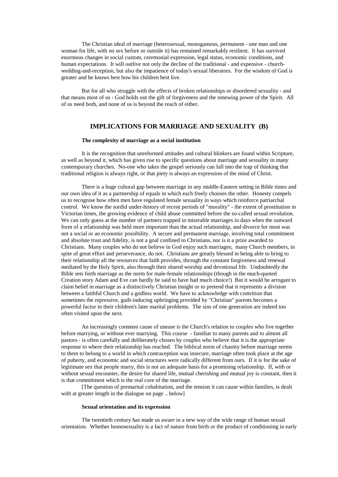The Christian ideal of marriage (heterosexual, monogamous, permanent - one man and one woman for life, with no sex before or outside it) has remained remarkably resilient. It has survived enormous changes in social custom, ceremonial expression, legal status, economic conditions, and human expectations. It will outlive not only the decline of the traditional - and expensive - churchwedding-and-reception, but also the impatience of today's sexual liberators. For the wisdom of God is greater and he knows best how his children best live.

But for all who struggle with the effects of broken relationships or disordered sexuality - and that means most of us - God holds out the gift of forgiveness and the renewing power of the Spirit. All of us need both, and none of us is beyond the reach of either.

## **IMPLICATIONS FOR MARRIAGE AND SEXUALITY (B)**

### **The complexity of marriage as a social institution**

It is the recognition that unreformed attitudes and cultural blinkers are found within Scripture, as well as beyond it, which has given rise to specific questions about marriage and sexuality in many contemporary churches. No-one who takes the gospel seriously can fall into the trap of thinking that traditional religion is always right, or that piety is always an expression of the mind of Christ.

There is a huge cultural gap between marriage in any middle-Eastern setting in Bible times and our own idea of it as a partnership of equals in which each freely chooses the other. Honesty compels us to recognise how often men have regulated female sexuality in ways which reinforce patriarchal control. We know the sordid under-history of recent periods of "morality" - the extent of prostitution in Victorian times, the growing evidence of child abuse committed before the so-called sexual revolution. We can only guess at the number of partners trapped in miserable marriages in days when the outward form of a relationship was held more important than the actual relationship, and divorce for most was not a social or an economic possibility. A secure and permanent marriage, involving total commitment and absolute trust and fidelity, is not a goal confined to Christians, nor is it a prize awarded to Christians. Many couples who do not believe in God enjoy such marriages; many Church members, in spite of great effort and perseverance, do not. Christians are greatly blessed in being able to bring to their relationship all the resources that faith provides, through the constant forgiveness and renewal mediated by the Holy Spirit, also through their shared worship and devotional life. Undoubtedly the Bible sets forth marriage as the norm for male-female relationships (though in the much-quoted Creation story Adam and Eve can hardly be said to have had much choice!) But it would be arrogant to claim belief in marriage as a distinctively Christian insight or to pretend that it represents a division between a faithful Church and a godless world. We have to acknowledge with contrition that sometimes the repressive, guilt-inducing upbringing provided by "Christian" parents becomes a powerful factor in their children's later marital problems. The sins of one generation are indeed too often visited upon the next.

An increasingly common cause of unease is the Church's relation to couples who live together before marrying, or without ever marrying. This course - familiar to many parents and to almost all pastors - is often carefully and deliberately chosen by couples who believe that it is the appropriate response to where their relationship has reached. The biblical norm of chastity before marriage seems to them to belong to a world in which contraception was insecure, marriage often took place at the age of puberty, and economic and social structures were radically different from ours. If it is for the sake of legitimate sex that people marry, this is not an adequate basis for a promising relationship. If, with or without sexual encounter, the desire for shared life, mutual cherishing and mutual joy is constant, then it is that commitment which is the real core of the marriage.

[The question of premarital cohabitation, and the tension it can cause within families, is dealt with at greater length in the dialogue on page .. below]

#### **Sexual orientation and its expression**

The twentieth century has made us aware in a new way of the wide range of human sexual orientation. Whether homosexuality is a fact of nature from birth or the product of conditioning in early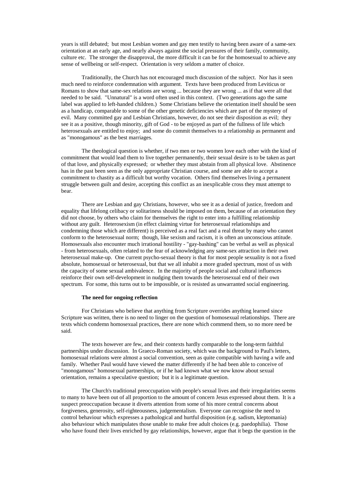years is still debated; but most Lesbian women and gay men testify to having been aware of a same-sex orientation at an early age, and nearly always against the social pressures of their family, community, culture etc. The stronger the disapproval, the more difficult it can be for the homosexual to achieve any sense of wellbeing or self-respect. Orientation is very seldom a matter of choice.

Traditionally, the Church has not encouraged much discussion of the subject. Nor has it seen much need to reinforce condemnation with argument. Texts have been produced from Leviticus or Romans to show that same-sex relations are wrong ... because they are wrong ... as if that were all that needed to be said. "Unnatural" is a word often used in this context. (Two generations ago the same label was applied to left-handed children.) Some Christians believe the orientation itself should be seen as a handicap, comparable to some of the other genetic deficiencies which are part of the mystery of evil. Many committed gay and Lesbian Christians, however, do not see their disposition as evil; they see it as a positive, though minority, gift of God - to be enjoyed as part of the fullness of life which heterosexuals are entitled to enjoy; and some do commit themselves to a relationship as permanent and as "monogamous" as the best marriages.

The theological question is whether, if two men or two women love each other with the kind of commitment that would lead them to live together permanently, their sexual desire is to be taken as part of that love, and physically expressed; or whether they must abstain from all physical love. Abstinence has in the past been seen as the only appropriate Christian course, and some are able to accept a commitment to chastity as a difficult but worthy vocation. Others find themselves living a permanent struggle between guilt and desire, accepting this conflict as an inexplicable cross they must attempt to bear.

There are Lesbian and gay Christians, however, who see it as a denial of justice, freedom and equality that lifelong celibacy or solitariness should be imposed on them, because of an orientation they did not choose, by others who claim for themselves the right to enter into a fulfilling relationship without any guilt. Heterosexism (in effect claiming virtue for heterosexual relationships and condemning those which are different) is perceived as a real fact and a real threat by many who cannot conform to the heterosexual norm; though, like sexism and racism, it is often an unconscious attitude. Homosexuals also encounter much irrational hostility - "gay-bashing" can be verbal as well as physical - from heterosexuals, often related to the fear of acknowledging any same-sex attraction in their own heterosexual make-up. One current psycho-sexual theory is that for most people sexuality is not a fixed absolute, homosexual or heterosexual, but that we all inhabit a more graded spectrum, most of us with the capacity of some sexual ambivalence. In the majority of people social and cultural influences reinforce their own self-development in nudging them towards the heterosexual end of their own spectrum. For some, this turns out to be impossible, or is resisted as unwarranted social engineering.

## **The need for ongoing reflection**

For Christians who believe that anything from Scripture overrides anything learned since Scripture was written, there is no need to linger on the question of homosexual relationships. There are texts which condemn homosexual practices, there are none which commend them, so no more need be said.

The texts however are few, and their contexts hardly comparable to the long-term faithful partnerships under discussion. In Graeco-Roman society, which was the background to Paul's letters, homosexual relations were almost a social convention, seen as quite compatible with having a wife and family. Whether Paul would have viewed the matter differently if he had been able to conceive of "monogamous" homosexual partnerships, or if he had known what we now know about sexual orientation, remains a speculative question; but it is a legitimate question.

The Church's traditional preoccupation with people's sexual lives and their irregularities seems to many to have been out of all proportion to the amount of concern Jesus expressed about them. It is a suspect preoccupation because it diverts attention from some of his more central concerns about forgiveness, generosity, self-righteousness, judgementalism. Everyone can recognise the need to control behaviour which expresses a pathological and hurtful disposition (e.g. sadism, kleptomania) also behaviour which manipulates those unable to make free adult choices (e.g. paedophilia). Those who have found their lives enriched by gay relationships, however, argue that it begs the question in the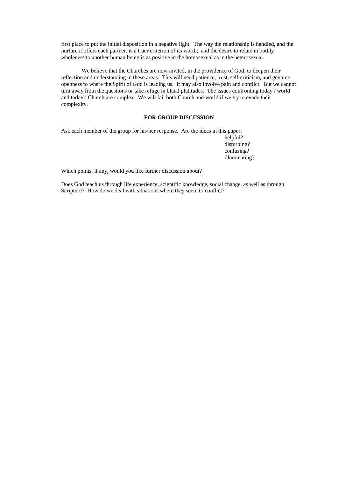first place to put the initial disposition in a negative light. The way the relationship is handled, and the nurture it offers each partner, is a truer criterion of its worth; and the desire to relate in bodily wholeness to another human being is as positive in the homosexual as in the heterosexual.

We believe that the Churches are now invited, in the providence of God, to deepen their reflection and understanding in these areas. This will need patience, trust, self-criticism, and genuine openness to where the Spirit of God is leading us. It may also involve pain and conflict. But we cannot turn away from the questions or take refuge in bland platitudes. The issues confronting today's world and today's Church are complex. We will fail both Church and world if we try to evade their complexity.

## **FOR GROUP DISCUSSION**

Ask each member of the group for his/her response. Are the ideas in this paper: helpful? disturbing? confusing? illuminating?

Which points, if any, would you like further discussion about?

Does God teach us through life experience, scientific knowledge, social change, as well as through Scripture? How do we deal with situations where they seem to conflict?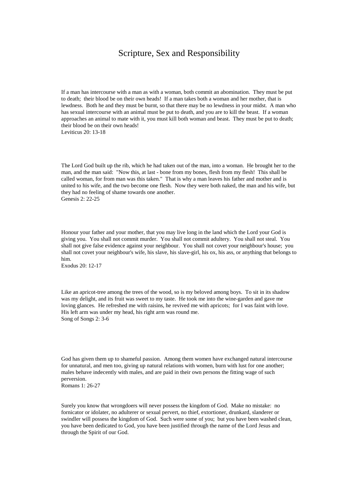## Scripture, Sex and Responsibility

If a man has intercourse with a man as with a woman, both commit an abomination. They must be put to death; their blood be on their own heads! If a man takes both a woman and her mother, that is lewdness. Both he and they must be burnt, so that there may be no lewdness in your midst. A man who has sexual intercourse with an animal must be put to death, and you are to kill the beast. If a woman approaches an animal to mate with it, you must kill both woman and beast. They must be put to death; their blood be on their own heads! Leviticus 20: 13-18

The Lord God built up the rib, which he had taken out of the man, into a woman. He brought her to the man, and the man said: "Now this, at last - bone from my bones, flesh from my flesh! This shall be called woman, for from man was this taken." That is why a man leaves his father and mother and is united to his wife, and the two become one flesh. Now they were both naked, the man and his wife, but they had no feeling of shame towards one another. Genesis 2: 22-25

Honour your father and your mother, that you may live long in the land which the Lord your God is giving you. You shall not commit murder. You shall not commit adultery. You shall not steal. You shall not give false evidence against your neighbour. You shall not covet your neighbour's house; you shall not covet your neighbour's wife, his slave, his slave-girl, his ox, his ass, or anything that belongs to him.

Exodus 20: 12-17

Like an apricot-tree among the trees of the wood, so is my beloved among boys. To sit in its shadow was my delight, and its fruit was sweet to my taste. He took me into the wine-garden and gave me loving glances. He refreshed me with raisins, he revived me with apricots; for I was faint with love. His left arm was under my head, his right arm was round me. Song of Songs 2: 3-6

God has given them up to shameful passion. Among them women have exchanged natural intercourse for unnatural, and men too, giving up natural relations with women, burn with lust for one another; males behave indecently with males, and are paid in their own persons the fitting wage of such perversion. Romans 1: 26-27

Surely you know that wrongdoers will never possess the kingdom of God. Make no mistake: no fornicator or idolater, no adulterer or sexual pervert, no thief, extortioner, drunkard, slanderer or swindler will possess the kingdom of God. Such were some of you; but you have been washed clean, you have been dedicated to God, you have been justified through the name of the Lord Jesus and through the Spirit of our God.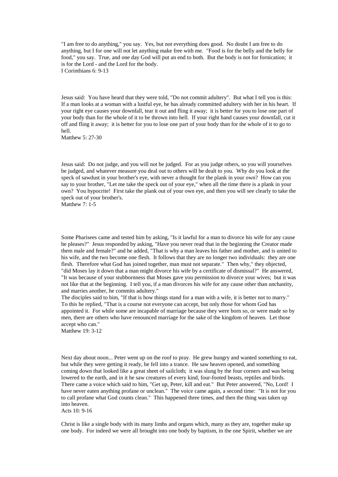"I am free to do anything," you say. Yes, but not everything does good. No doubt I am free to do anything, but I for one will not let anything make free with me. "Food is for the belly and the belly for food," you say. True, and one day God will put an end to both. But the body is not for fornication; it is for the Lord - and the Lord for the body. I Corinthians 6: 9-13

Jesus said: You have heard that they were told, "Do not commit adultery". But what I tell you is this: If a man looks at a woman with a lustful eye, he has already committed adultery with her in his heart. If your right eye causes your downfall, tear it out and fling it away; it is better for you to lose one part of your body than for the whole of it to be thrown into hell. If your right hand causes your downfall, cut it off and fling it away; it is better for you to lose one part of your body than for the whole of it to go to hell.

Matthew 5: 27-30

Jesus said: Do not judge, and you will not be judged. For as you judge others, so you will yourselves be judged, and whatever measure you deal out to others will be dealt to you. Why do you look at the speck of sawdust in your brother's eye, with never a thought for the plank in your own? How can you say to your brother, "Let me take the speck out of your eye," when all the time there is a plank in your own? You hypocrite! First take the plank out of your own eye, and then you will see clearly to take the speck out of your brother's.

Matthew 7: 1-5

Some Pharisees came and tested him by asking, "Is it lawful for a man to divorce his wife for any cause he pleases?" Jesus responded by asking, "Have you never read that in the beginning the Creator made them male and female?" and he added, "That is why a man leaves his father and mother, and is united to his wife, and the two become one flesh. It follows that they are no longer two individuals: they are one flesh. Therefore what God has joined together, man must not separate." Then why," they objected, "did Moses lay it down that a man might divorce his wife by a certificate of dismissal?" He answered, "It was because of your stubbornness that Moses gave you permission to divorce your wives; but it was not like that at the beginning. I tell you, if a man divorces his wife for any cause other than unchastity, and marries another, he commits adultery."

The disciples said to him, "If that is how things stand for a man with a wife, it is better not to marry." To this he replied, "That is a course not everyone can accept, but only those for whom God has appointed it. For while some are incapable of marriage because they were born so, or were made so by men, there are others who have renounced marriage for the sake of the kingdom of heaven. Let those accept who can."

Matthew 19: 3-12

Next day about noon... Peter went up on the roof to pray. He grew hungry and wanted something to eat, but while they were getting it ready, he fell into a trance. He saw heaven opened, and something coming down that looked like a great sheet of sailcloth; it was slung by the four corners and was being lowered to the earth, and in it he saw creatures of every kind, four-footed beasts, reptiles and birds. There came a voice which said to him, "Get up, Peter, kill and eat." But Peter answered, "No, Lord! I have never eaten anything profane or unclean." The voice came again, a second time: "It is not for you to call profane what God counts clean." This happened three times, and then the thing was taken up into heaven.

Acts 10: 9-16

Christ is like a single body with its many limbs and organs which, many as they are, together make up one body. For indeed we were all brought into one body by baptism, in the one Spirit, whether we are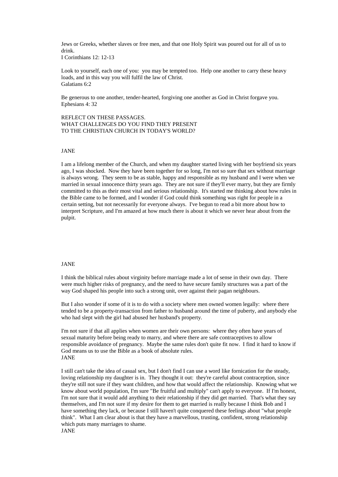Jews or Greeks, whether slaves or free men, and that one Holy Spirit was poured out for all of us to drink.

I Corinthians 12: 12-13

Look to yourself, each one of you: you may be tempted too. Help one another to carry these heavy loads, and in this way you will fulfil the law of Christ. Galatians 6:2

Be generous to one another, tender-hearted, forgiving one another as God in Christ forgave you. Ephesians 4: 32

## REFLECT ON THESE PASSAGES. WHAT CHALLENGES DO YOU FIND THEY PRESENT TO THE CHRISTIAN CHURCH IN TODAY'S WORLD?

#### JANE

I am a lifelong member of the Church, and when my daughter started living with her boyfriend six years ago, I was shocked. Now they have been together for so long, I'm not so sure that sex without marriage is always wrong. They seem to be as stable, happy and responsible as my husband and I were when we married in sexual innocence thirty years ago. They are not sure if they'll ever marry, but they are firmly committed to this as their most vital and serious relationship. It's started me thinking about how rules in the Bible came to be formed, and I wonder if God could think something was right for people in a certain setting, but not necessarily for everyone always. I've begun to read a bit more about how to interpret Scripture, and I'm amazed at how much there is about it which we never hear about from the pulpit.

## JANE

I think the biblical rules about virginity before marriage made a lot of sense in their own day. There were much higher risks of pregnancy, and the need to have secure family structures was a part of the way God shaped his people into such a strong unit, over against their pagan neighbours.

But I also wonder if some of it is to do with a society where men owned women legally: where there tended to be a property-transaction from father to husband around the time of puberty, and anybody else who had slept with the girl had abused her husband's property.

I'm not sure if that all applies when women are their own persons: where they often have years of sexual maturity before being ready to marry, and where there are safe contraceptives to allow responsible avoidance of pregnancy. Maybe the same rules don't quite fit now. I find it hard to know if God means us to use the Bible as a book of absolute rules. **JANE** 

I still can't take the idea of casual sex, but I don't find I can use a word like fornication for the steady, loving relationship my daughter is in. They thought it out: they're careful about contraception, since they're still not sure if they want children, and how that would affect the relationship. Knowing what we know about world population, I'm sure "Be fruitful and multiply" can't apply to everyone. If I'm honest, I'm not sure that it would add anything to their relationship if they did get married. That's what they say themselves, and I'm not sure if my desire for them to get married is really because I think Bob and I have something they lack, or because I still haven't quite conquered these feelings about "what people think". What I am clear about is that they have a marvellous, trusting, confident, strong relationship which puts many marriages to shame.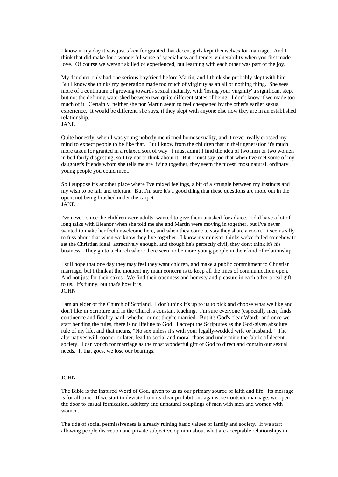I know in my day it was just taken for granted that decent girls kept themselves for marriage. And I think that did make for a wonderful sense of specialness and tender vulnerability when you first made love. Of course we weren't skilled or experienced, but learning with each other was part of the joy.

My daughter only had one serious boyfriend before Martin, and I think she probably slept with him. But I know she thinks my generation made too much of virginity as an all or nothing thing. She sees more of a continuum of growing towards sexual maturity, with 'losing your virginity' a significant step, but not the defining watershed between two quite different states of being. I don't know if we made too much of it. Certainly, neither she nor Martin seem to feel cheapened by the other's earlier sexual experience. It would be different, she says, if they slept with anyone else now they are in an established relationship.

## JANE

Quite honestly, when I was young nobody mentioned homosexuality, and it never really crossed my mind to expect people to be like that. But I know from the children that in their generation it's much more taken for granted in a relaxed sort of way. I must admit I find the idea of two men or two women in bed fairly disgusting, so I try not to think about it. But I must say too that when I've met some of my daughter's friends whom she tells me are living together, they seem the nicest, most natural, ordinary young people you could meet.

So I suppose it's another place where I've mixed feelings, a bit of a struggle between my instincts and my wish to be fair and tolerant. But I'm sure it's a good thing that these questions are more out in the open, not being brushed under the carpet. JANE

I've never, since the children were adults, wanted to give them unasked for advice. I did have a lot of long talks with Eleanor when she told me she and Martin were moving in together, but I've never wanted to make her feel unwelcome here, and when they come to stay they share a room. It seems silly to fuss about that when we know they live together. I know my minister thinks we've failed somehow to set the Christian ideal attractively enough, and though he's perfectly civil, they don't think it's his business. They go to a church where there seem to be more young people in their kind of relationship.

I still hope that one day they may feel they want chldren, and make a public commitment to Christian marriage, but I think at the moment my main concern is to keep all the lines of communication open. And not just for their sakes. We find their openness and honesty and pleasure in each other a real gift to us. It's funny, but that's how it is. JOHN

I am an elder of the Church of Scotland. I don't think it's up to us to pick and choose what we like and don't like in Scripture and in the Church's constant teaching. I'm sure everyone (especially men) finds continence and fidelity hard, whether or not they're married. But it's God's clear Word: and once we start bending the rules, there is no lifeline to God. I accept the Scriptures as the God-given absolute rule of my life, and that means, "No sex unless it's with your legally-wedded wife or husband." The alternatives will, sooner or later, lead to social and moral chaos and undermine the fabric of decent society. I can vouch for marriage as the most wonderful gift of God to direct and contain our sexual needs. If that goes, we lose our bearings.

## JOHN

The Bible is the inspired Word of God, given to us as our primary source of faith and life. Its message is for all time. If we start to deviate from its clear prohibitions against sex outside marriage, we open the door to casual fornication, adultery and unnatural couplings of men with men and women with women.

The tide of social permissiveness is already ruining basic values of family and society. If we start allowing people discretion and private subjective opinion about what are acceptable relationships in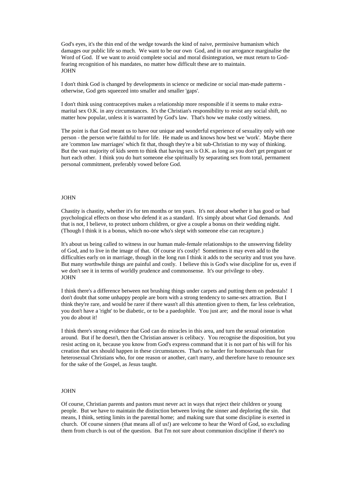God's eyes, it's the thin end of the wedge towards the kind of naive, permissive humanism which damages our public life so much. We want to be our own God, and in our arrogance marginalise the Word of God. If we want to avoid complete social and moral disintegration, we must return to Godfearing recognition of his mandates, no matter how difficult these are to maintain. JOHN

I don't think God is changed by developments in science or medicine or social man-made patterns otherwise, God gets squeezed into smaller and smaller 'gaps'.

I don't think using contraceptives makes a relationship more responsible if it seems to make extramarital sex O.K. in any circumstances. It's the Christian's responsibility to resist any social shift, no matter how popular, unless it is warranted by God's law. That's how we make costly witness.

The point is that God meant us to have our unique and wonderful experience of sexuality only with one person - the person we're faithful to for life. He made us and knows how best we 'work'. Maybe there are 'common law marriages' which fit that, though they're a bit sub-Christian to my way of thinking. But the vast majority of kids seem to think that having sex is O.K. as long as you don't get pregnant or hurt each other. I think you do hurt someone else spiritually by separating sex from total, permament personal commitment, preferably vowed before God.

## JOHN

Chastity is chastity, whether it's for ten months or ten years. It's not about whether it has good or bad psychological effects on those who defend it as a standard. It's simply about what God demands. And that is not, I believe, to protect unborn children, or give a couple a bonus on their wedding night. (Though I think it is a bonus, which no-one who's slept with someone else can recapture.)

It's about us being called to witness in our human male-female relationships to the unswerving fidelity of God, and to live in the image of that. Of course it's costly! Sometimes it may even add to the difficulties early on in marriage, though in the long run I think it adds to the security and trust you have. But many worthwhile things are painful and costly. I believe this is God's wise discipline for us, even if we don't see it in terms of worldly prudence and commonsense. It's our privilege to obey. JOHN

I think there's a difference between not brushing things under carpets and putting them on pedestals! I don't doubt that some unhappy people are born with a strong tendency to same-sex attraction. But I think they're rare, and would be rarer if there wasn't all this attention given to them, far less celebration, you don't have a 'right' to be diabetic, or to be a paedophile. You just are; and the moral issue is what you do about it!

I think there's strong evidence that God can do miracles in this area, and turn the sexual orientation around. But if he doesn't, then the Christian answer is celibacy. You recognise the disposition, but you resist acting on it, because you know from God's express command that it is not part of his will for his creation that sex should happen in these circumstances. That's no harder for homosexuals than for heterosexual Christians who, for one reason or another, can't marry, and therefore have to renounce sex for the sake of the Gospel, as Jesus taught.

#### JOHN

Of course, Christian parents and pastors must never act in ways that reject their children or young people. But we have to maintain the distinction between loving the sinner and deploring the sin. that means, I think, setting limits in the parental home; and making sure that some discipline is exerted in church. Of course sinners (that means all of us!) are welcome to hear the Word of God, so excluding them from church is out of the question. But I'm not sure about communion discipline if there's no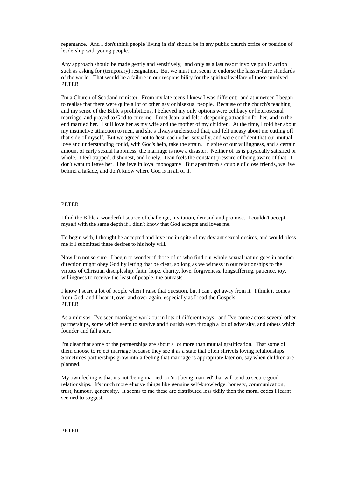repentance. And I don't think people 'living in sin' should be in any public church office or position of leadership with young people.

Any approach should be made gently and sensitively; and only as a last resort involve public action such as asking for (temporary) resignation. But we must not seem to endorse the laisser-faire standards of the world. That would be a failure in our responsibility for the spiritual welfare of those involved. PETER

I'm a Church of Scotland minister. From my late teens I knew I was different: and at nineteen I began to realise that there were quite a lot of other gay or bisexual people. Because of the church's teaching and my sense of the Bible's prohibitions, I believed my only options were celibacy or heterosexual marriage, and prayed to God to cure me. I met Jean, and felt a deepening attraction for her, and in the end married her. I still love her as my wife and the mother of my children. At the time, I told her about my instinctive attraction to men, and she's always understood that, and felt uneasy about me cutting off that side of myself. But we agreed not to 'test' each other sexually, and were confident that our mutual love and understanding could, with God's help, take the strain. In spite of our willingness, and a certain amount of early sexual happiness, the marriage is now a disaster. Neither of us is physically satisfied or whole. I feel trapped, dishonest, and lonely. Jean feels the constant pressure of being aware of that. I don't want to leave her. I believe in loyal monogamy. But apart from a couple of close friends, we live behind a faßade, and don't know where God is in all of it.

## PETER

I find the Bible a wonderful source of challenge, invitation, demand and promise. I couldn't accept myself with the same depth if I didn't know that God accepts and loves me.

To begin with, I thought he accepted and love me in spite of my deviant sexual desires, and would bless me if I submitted these desires to his holy will.

Now I'm not so sure. I begin to wonder if those of us who find our whole sexual nature goes in another direction might obey God by letting that be clear, so long as we witness in our relationships to the virtues of Christian discipleship, faith, hope, charity, love, forgiveness, longsuffering, patience, joy, willingness to receive the least of people, the outcasts.

I know I scare a lot of people when I raise that question, but I can't get away from it. I think it comes from God, and I hear it, over and over again, especially as I read the Gospels. PETER

As a minister, I've seen marriages work out in lots of different ways: and I've come across several other partnerships, some which seem to survive and flourish even through a lot of adversity, and others which founder and fall apart.

I'm clear that some of the partnerships are about a lot more than mutual gratification. That some of them choose to reject marriage because they see it as a state that often shrivels loving relationships. Sometimes partnerships grow into a feeling that marriage is appropriate later on, say when children are planned.

My own feeling is that it's not 'being married' or 'not being married' that will tend to secure good relationships. It's much more elusive things like genuine self-knowledge, honesty, communication, trust, humour, generosity. It seems to me these are distributed less tidily then the moral codes I learnt seemed to suggest.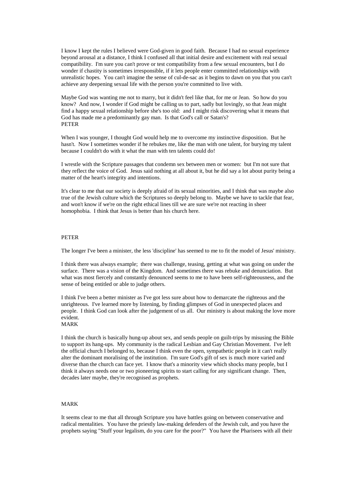I know I kept the rules I believed were God-given in good faith. Because I had no sexual experience beyond arousal at a distance, I think I confused all that initial desire and excitement with real sexual compatibility. I'm sure you can't prove or test compatibility from a few sexual encounters, but I do wonder if chastity is sometimes irresponsible, if it lets people enter committed relationships with unrealistic hopes. You can't imagine the sense of cul-de-sac as it begins to dawn on you that you can't achieve any deepening sexual life with the person you're committed to live with.

Maybe God was wanting me not to marry, but it didn't feel like that, for me or Jean. So how do you know? And now, I wonder if God might be calling us to part, sadly but lovingly, so that Jean might find a happy sexual relationship before she's too old: and I might risk discovering what it means that God has made me a predominantly gay man. Is that God's call or Satan's? PETER

When I was younger, I thought God would help me to overcome my instinctive disposition. But he hasn't. Now I sometimes wonder if he rebukes me, like the man with one talent, for burying my talent because I couldn't do with it what the man with ten talents could do!

I wrestle with the Scripture passages that condemn sex between men or women: but I'm not sure that they reflect the voice of God. Jesus said nothing at all about it, but he did say a lot about purity being a matter of the heart's integrity and intentions.

It's clear to me that our society is deeply afraid of its sexual minorities, and I think that was maybe also true of the Jewish culture which the Scriptures so deeply belong to. Maybe we have to tackle that fear, and won't know if we're on the right ethical lines till we are sure we're not reacting in sheer homophobia. I think that Jesus is better than his church here.

#### PETER

The longer I've been a minister, the less 'discipline' has seemed to me to fit the model of Jesus' ministry.

I think there was always example; there was challenge, teasing, getting at what was going on under the surface. There was a vision of the Kingdom. And sometimes there was rebuke and denunciation. But what was most fiercely and constantly denounced seems to me to have been self-righteousness, and the sense of being entitled or able to judge others.

I think I've been a better minister as I've got less sure about how to demarcate the righteous and the unrighteous. I've learned more by listening, by finding glimpses of God in unexpected places and people. I think God can look after the judgement of us all. Our ministry is about making the love more evident.

MARK

I think the church is basically hung-up about sex, and sends people on guilt-trips by misusing the Bible to support its hang-ups. My community is the radical Lesbian and Gay Christian Movement. I've left the official church I belonged to, because I think even the open, sympathetic people in it can't really alter the dominant moralising of the institution. I'm sure God's gift of sex is much more varied and diverse than the church can face yet. I know that's a minority view which shocks many people, but I think it always needs one or two pioneering spirits to start calling for any significant change. Then, decades later maybe, they're recognised as prophets.

## MARK

It seems clear to me that all through Scripture you have battles going on between conservative and radical mentalities. You have the priestly law-making defenders of the Jewish cult, and you have the prophets saying "Stuff your legalism, do you care for the poor?" You have the Pharisees with all their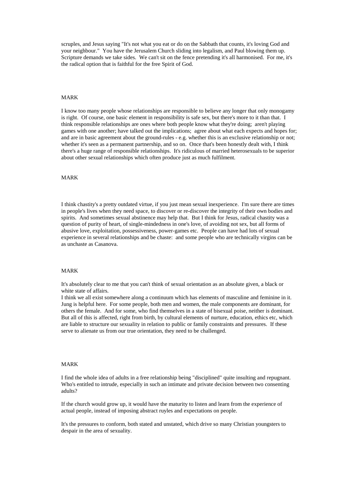scruples, and Jesus saying "It's not what you eat or do on the Sabbath that counts, it's loving God and your neighbour." You have the Jerusalem Church sliding into legalism, and Paul blowing them up. Scripture demands we take sides. We can't sit on the fence pretending it's all harmonised. For me, it's the radical option that is faithful for the free Spirit of God.

## MARK

I know too many people whose relationships are responsible to believe any longer that only monogamy is right. Of course, one basic element in responsibility is safe sex, but there's more to it than that. I think responsible relationships are ones where both people know what they're doing; aren't playing games with one another; have talked out the implications; agree about what each expects and hopes for; and are in basic agreement about the ground-rules - e.g. whether this is an exclusive relationship or not; whether it's seen as a permanent partnership, and so on. Once that's been honestly dealt with, I think there's a huge range of responsible relationships. It's ridiculous of married heterosexuals to be superior about other sexual relationships which often produce just as much fulfilment.

#### MARK

I think chastity's a pretty outdated virtue, if you just mean sexual inexperience. I'm sure there are times in people's lives when they need space, to discover or re-discover the integrity of their own bodies and spirits. And sometimes sexual abstinence may help that. But I think for Jesus, radical chastity was a question of purity of heart, of single-mindedness in one's love, of avoiding not sex, but all forms of abusive love, exploitation, possessiveness, power-games etc. People can have had lots of sexual experience in several relationships and be chaste: and some people who are technically virgins can be as unchaste as Casanova.

## MARK

It's absolutely clear to me that you can't think of sexual orientation as an absolute given, a black or white state of affairs.

I think we all exist somewhere along a continuum which has elements of masculine and feminine in it. Jung is helpful here. For some people, both men and women, the male components are dominant, for others the female. And for some, who find themselves in a state of bisexual poise, neither is dominant. But all of this is affected, right from birth, by cultural elements of nurture, education, ethics etc, which are liable to structure our sexuality in relation to public or family constraints and pressures. If these serve to alienate us from our true orientation, they need to be challenged.

#### MARK

I find the whole idea of adults in a free relationship being "disciplined" quite insulting and repugnant. Who's entitled to intrude, especially in such an intimate and private decision between two consenting adults?

If the church would grow up, it would have the maturity to listen and learn from the experience of actual people, instead of imposing abstract ruyles and expectations on people.

It's the pressures to conform, both stated and unstated, which drive so many Christian youngsters to despair in the area of sexuality.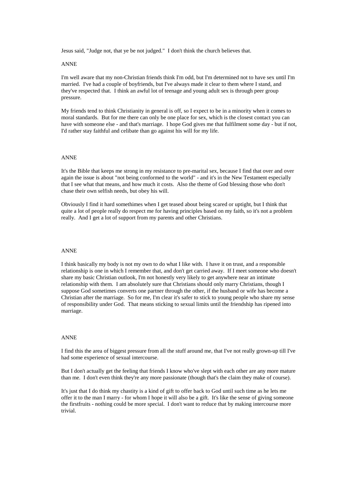Jesus said, "Judge not, that ye be not judged." I don't think the church believes that.

### ANNE

I'm well aware that my non-Christian friends think I'm odd, but I'm determined not to have sex until I'm married. I've had a couple of boyfriends, but I've always made it clear to them where I stand, and they've respected that. I think an awful lot of teenage and young adult sex is through peer group pressure.

My friends tend to think Christianity in general is off, so I expect to be in a minority when it comes to moral standards. But for me there can only be one place for sex, which is the closest contact you can have with someone else - and that's marriage. I hope God gives me that fulfilment some day - but if not, I'd rather stay faithful and celibate than go against his will for my life.

## ANNE

It's the Bible that keeps me strong in my resistance to pre-marital sex, because I find that over and over again the issue is about "not being conformed to the world" - and it's in the New Testament especially that I see what that means, and how much it costs. Also the theme of God blessing those who don't chase their own selfish needs, but obey his will.

Obviously I find it hard somethimes when I get teased about being scared or uptight, but I think that quite a lot of people really do respect me for having principles based on my faith, so it's not a problem really. And I get a lot of support from my parents and other Christians.

#### ANNE

I think basically my body is not my own to do what I like with. I have it on trust, and a responsible relationship is one in which I remember that, and don't get carried away. If I meet someone who doesn't share my basic Christian outlook, I'm not honestly very likely to get anywhere near an intimate relationship with them. I am absolutely sure that Christians should only marry Christians, though I suppose God sometimes converts one partner through the other, if the husband or wife has become a Christian after the marriage. So for me, I'm clear it's safer to stick to young people who share my sense of responsibility under God. That means sticking to sexual limits until the friendship has ripened into marriage.

## ANNE

I find this the area of biggest pressure from all the stuff around me, that I've not really grown-up till I've had some experience of sexual intercourse.

But I don't actually get the feeling that friends I know who've slept with each other are any more mature than me. I don't even think they're any more passionate (though that's the claim they make of course).

It's just that I do think my chastity is a kind of gift to offer back to God until such time as he lets me offer it to the man I marry - for whom I hope it will also be a gift. It's like the sense of giving someone the firstfruits - nothing could be more special. I don't want to reduce that by making intercourse more trivial.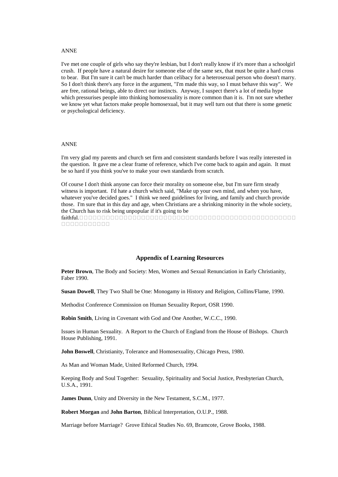#### ANNE

I've met one couple of girls who say they're lesbian, but I don't really know if it's more than a schoolgirl crush. If people have a natural desire for someone else of the same sex, that must be quite a hard cross to bear. But I'm sure it can't be much harder than celibacy for a heterosexual person who doesn't marry. So I don't think there's any force in the argument, "I'm made this way, so I must behave this way". We are free, rational beings, able to direct our instincts. Anyway, I suspect there's a lot of media hype which pressurises people into thinking homosexuality is more common than it is. I'm not sure whether we know yet what factors make people homosexual, but it may well turn out that there is some genetic or psychological deficiency.

#### ANNE

I'm very glad my parents and church set firm and consistent standards before I was really interested in the question. It gave me a clear frame of reference, which I've come back to again and again. It must be so hard if you think you've to make your own standards from scratch.

Of course I don't think anyone can force their morality on someone else, but I'm sure firm steady witness is important. I'd hate a church which said, "Make up your own mind, and when you have, whatever you've decided goes." I think we need guidelines for living, and family and church provide those. I'm sure that in this day and age, when Christians are a shrinking minority in the whole society, the Church has to risk being unpopular if it's going to be

faithful. nnnnnnnnnn

## **Appendix of Learning Resources**

**Peter Brown**, The Body and Society: Men, Women and Sexual Renunciation in Early Christianity, Faber 1990.

**Susan Dowell**, They Two Shall be One: Monogamy in History and Religion, Collins/Flame, 1990.

Methodist Conference Commission on Human Sexuality Report, OSR 1990.

**Robin Smith**, Living in Covenant with God and One Another, W.C.C., 1990.

Issues in Human Sexuality. A Report to the Church of England from the House of Bishops. Church House Publishing, 1991.

**John Boswell**, Christianity, Tolerance and Homosexuality, Chicago Press, 1980.

As Man and Woman Made, United Reformed Church, 1994.

Keeping Body and Soul Together: Sexuality, Spirituality and Social Justice, Presbyterian Church, U.S.A., 1991.

**James Dunn**, Unity and Diversity in the New Testament, S.C.M., 1977.

**Robert Morgan** and **John Barton**, Biblical Interpretation, O.U.P., 1988.

Marriage before Marriage? Grove Ethical Studies No. 69, Bramcote, Grove Books, 1988.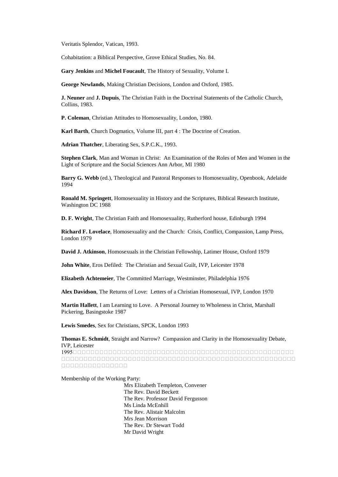Veritatis Splendor, Vatican, 1993.

Cohabitation: a Biblical Perspective, Grove Ethical Studies, No. 84.

**Gary Jenkins** and **Michel Foucault**, The History of Sexuality, Volume I.

**George Newlands**, Making Christian Decisions, London and Oxford, 1985.

**J. Neuner** and **J. Dupuis**, The Christian Faith in the Doctrinal Statements of the Catholic Church, Collins, 1983.

**P. Coleman**, Christian Attitudes to Homosexuality, London, 1980.

**Karl Barth**, Church Dogmatics, Volume III, part 4 : The Doctrine of Creation.

**Adrian Thatcher**, Liberating Sex, S.P.C.K., 1993.

**Stephen Clark**, Man and Woman in Christ: An Examination of the Roles of Men and Women in the Light of Scripture and the Social Sciences Ann Arbor, MI 1980

**Barry G. Webb** (ed.), Theological and Pastoral Responses to Homosexuality, Openbook, Adelaide 1994

**Ronald M. Springett**, Homosexuality in History and the Scriptures, Biblical Research Institute, Washington DC 1988

**D. F. Wright**, The Christian Faith and Homosexuality, Rutherford house, Edinburgh 1994

**Richard F. Lovelace**, Homosexuality and the Church: Crisis, Conflict, Compassion, Lamp Press, London 1979

**David J. Atkinson**, Homosexuals in the Christian Fellowship, Latimer House, Oxford 1979

**John White**, Eros Defiled: The Christian and Sexual Guilt, IVP, Leicester 1978

**Elizabeth Achtemeier**, The Committed Marriage, Westminster, Philadelphia 1976

**Alex Davidson**, The Returns of Love: Letters of a Christian Homosexual, IVP, London 1970

**Martin Hallett**, I am Learning to Love. A Personal Journey to Wholeness in Christ, Marshall Pickering, Basingstoke 1987

**Lewis Smedes**, Sex for Christians, SPCK, London 1993

**Thomas E. Schmidt**, Straight and Narrow? Compassion and Clarity in the Homosexuality Debate, IVP, Leicester

1995 000000000000000

Membership of the Working Party:

 Mrs Elizabeth Templeton, Convener The Rev. David Beckett The Rev. Professor David Fergusson Ms Linda McEnhill The Rev. Alistair Malcolm Mrs Jean Morrison The Rev. Dr Stewart Todd Mr David Wright